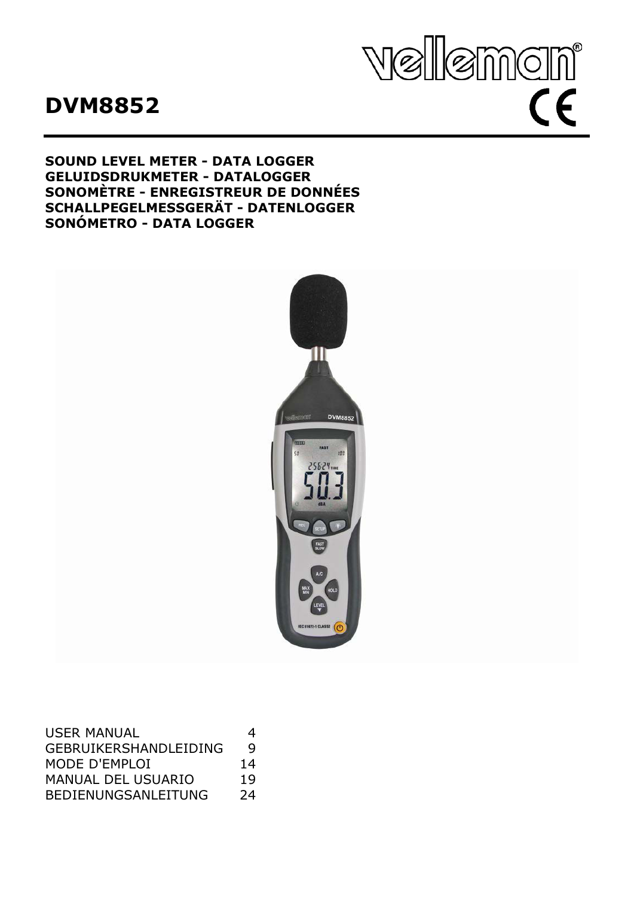# **DVM8852**



## **SOUND LEVEL METER - DATA LOGGER GELUIDSDRUKMETER - DATALOGGER SONOMÈTRE - ENREGISTREUR DE DONNÉES SCHALLPEGELMESSGERÄT - DATENLOGGER SONÓMETRO - DATA LOGGER**



| <b>USER MANUAL</b>           | 4  |
|------------------------------|----|
| <b>GEBRUIKERSHANDLEIDING</b> | q  |
| MODE D'EMPLOI                | 14 |
| <b>MANUAL DEL USUARIO</b>    | 19 |
| <b>BEDIENUNGSANLEITUNG</b>   | 24 |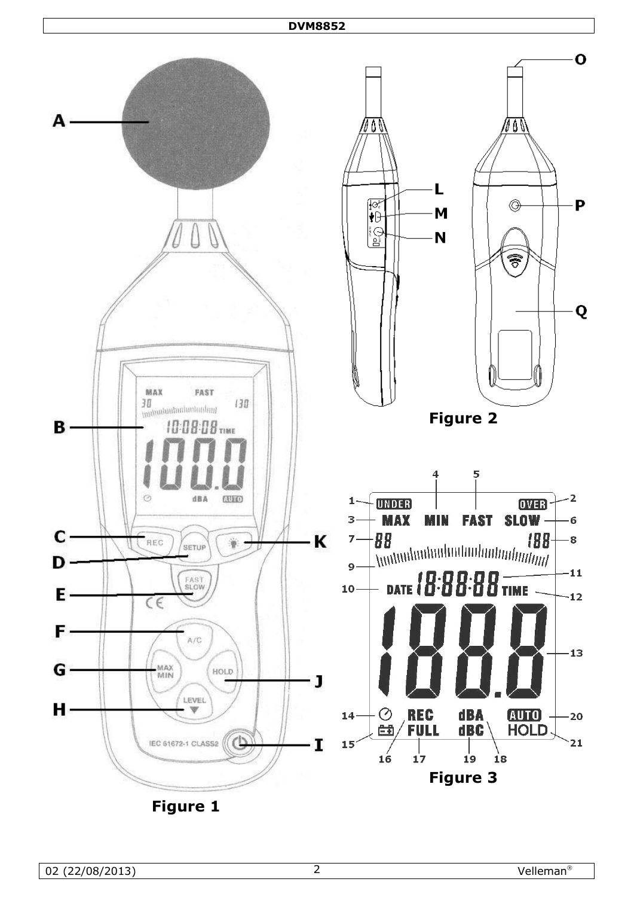## <span id="page-1-2"></span><span id="page-1-1"></span>**DVM8852**

<span id="page-1-0"></span>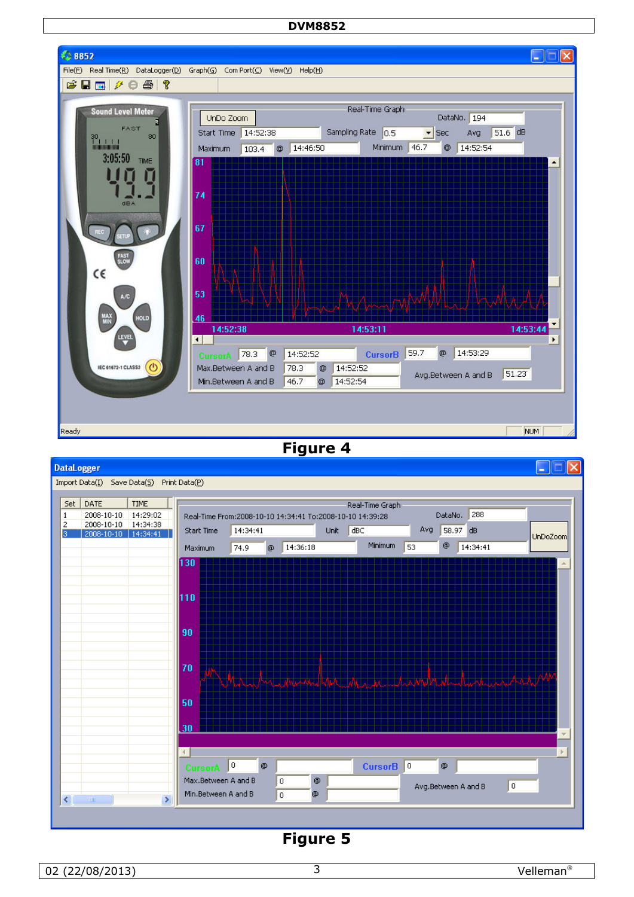#### **DVM8852**



**Figure 4** 

<span id="page-2-0"></span>

<span id="page-2-1"></span>**Figure 5**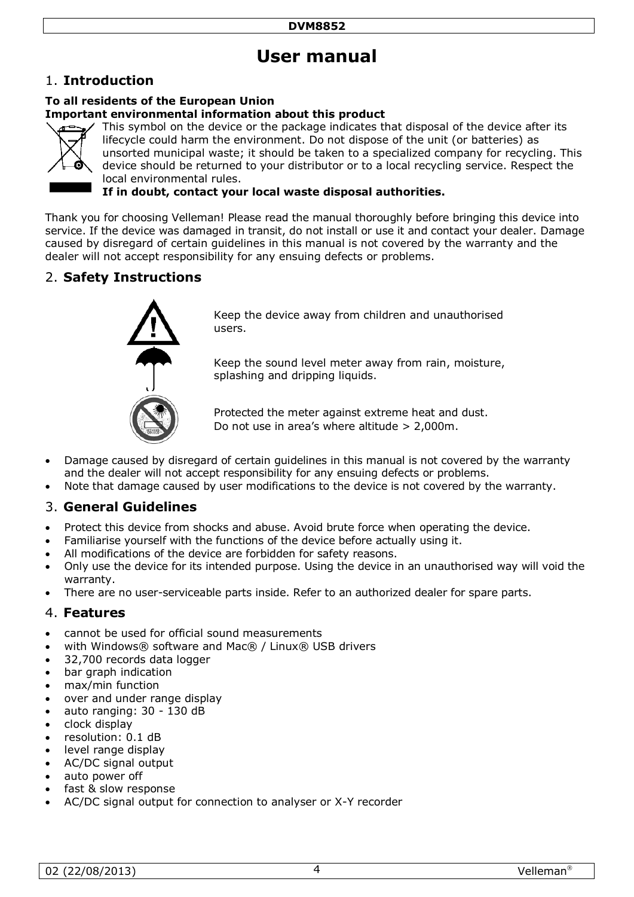# **User manual**

## 1. **Introduction**

## **To all residents of the European Union**

#### **Important environmental information about this product**



This symbol on the device or the package indicates that disposal of the device after its lifecycle could harm the environment. Do not dispose of the unit (or batteries) as unsorted municipal waste; it should be taken to a specialized company for recycling. This device should be returned to your distributor or to a local recycling service. Respect the local environmental rules.

**If in doubt, contact your local waste disposal authorities.**

Thank you for choosing Velleman! Please read the manual thoroughly before bringing this device into service. If the device was damaged in transit, do not install or use it and contact your dealer. Damage caused by disregard of certain guidelines in this manual is not covered by the warranty and the dealer will not accept responsibility for any ensuing defects or problems.

## 2. **Safety Instructions**



Keep the device away from children and unauthorised users.

Keep the sound level meter away from rain, moisture, splashing and dripping liquids.

Protected the meter against extreme heat and dust. Do not use in area's where altitude > 2,000m.

- Damage caused by disregard of certain guidelines in this manual is not covered by the warranty and the dealer will not accept responsibility for any ensuing defects or problems.
- Note that damage caused by user modifications to the device is not covered by the warranty.

## 3. **General Guidelines**

- Protect this device from shocks and abuse. Avoid brute force when operating the device.
- Familiarise yourself with the functions of the device before actually using it.
- All modifications of the device are forbidden for safety reasons.
- Only use the device for its intended purpose. Using the device in an unauthorised way will void the warranty.
- There are no user-serviceable parts inside. Refer to an authorized dealer for spare parts.

## 4. **Features**

- cannot be used for official sound measurements
- with Windows® software and Mac® / Linux® USB drivers
- 32,700 records data logger
- bar graph indication
- max/min function
- over and under range display
- auto ranging: 30 130 dB
- clock display
- resolution: 0.1 dB
- level range display
- AC/DC signal output
- auto power off
- fast & slow response
- AC/DC signal output for connection to analyser or X-Y recorder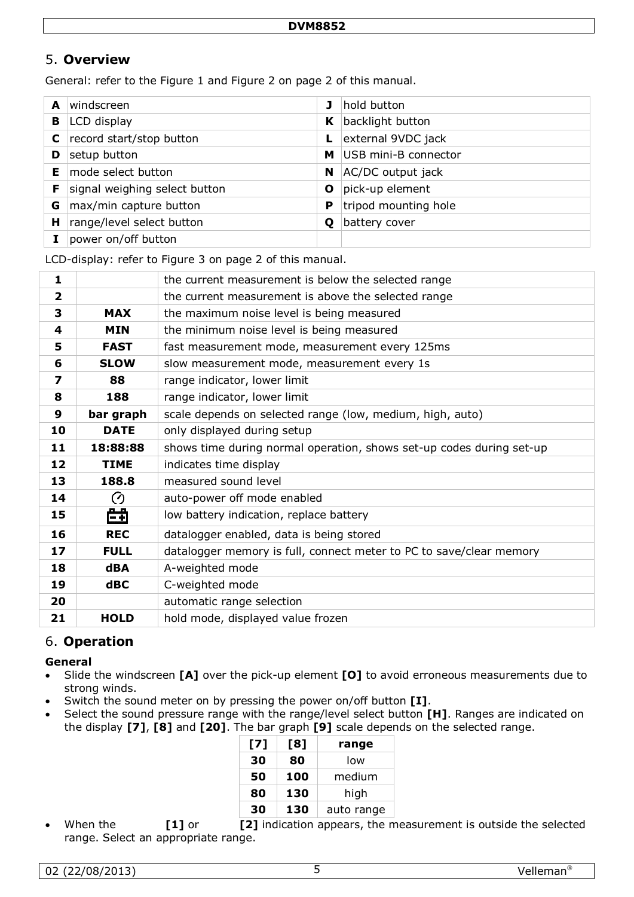## 5. **Overview**

General: refer to the [Figure 1](#page-1-0) and [Figure 2](#page-1-1) on page [2](#page-1-0) of this manual.

| A | windscreen                    | J | hold button          |
|---|-------------------------------|---|----------------------|
| в | LCD display                   | K | backlight button     |
|   | record start/stop button      |   | external 9VDC jack   |
| D | setup button                  | м | USB mini-B connector |
| Е | mode select button            | N | AC/DC output jack    |
|   | signal weighing select button | Ο | pick-up element      |
| G | max/min capture button        | P | tripod mounting hole |
| н | range/level select button     | Ο | battery cover        |
|   | power on/off button           |   |                      |

LCD-display: refer to [Figure 3](#page-1-2) on page [2](#page-1-0) of this manual.

| 1              |             | the current measurement is below the selected range                  |  |
|----------------|-------------|----------------------------------------------------------------------|--|
| $\overline{2}$ |             | the current measurement is above the selected range                  |  |
| 3              | <b>MAX</b>  | the maximum noise level is being measured                            |  |
| 4              | <b>MIN</b>  | the minimum noise level is being measured                            |  |
| 5              | <b>FAST</b> | fast measurement mode, measurement every 125ms                       |  |
| 6              | <b>SLOW</b> | slow measurement mode, measurement every 1s                          |  |
| 7              | 88          | range indicator, lower limit                                         |  |
| 8              | 188         | range indicator, lower limit                                         |  |
| 9              | bar graph   | scale depends on selected range (low, medium, high, auto)            |  |
| 10             | <b>DATE</b> | only displayed during setup                                          |  |
| 11             | 18:88:88    | shows time during normal operation, shows set-up codes during set-up |  |
| 12             | <b>TIME</b> | indicates time display                                               |  |
| 13             | 188.8       | measured sound level                                                 |  |
| 14             | Ø           | auto-power off mode enabled                                          |  |
| 15             | 曲           | low battery indication, replace battery                              |  |
| 16             | <b>REC</b>  | datalogger enabled, data is being stored                             |  |
| 17             | <b>FULL</b> | datalogger memory is full, connect meter to PC to save/clear memory  |  |
| 18             | <b>dBA</b>  | A-weighted mode                                                      |  |
| 19             | $d$ BC      | C-weighted mode                                                      |  |
| 20             |             | automatic range selection                                            |  |
| 21             | <b>HOLD</b> | hold mode, displayed value frozen                                    |  |

## 6. **Operation**

#### **General**

- Slide the windscreen **[A]** over the pick-up element **[O]** to avoid erroneous measurements due to strong winds.
- Switch the sound meter on by pressing the power on/off button **[I]**.
- Select the sound pressure range with the range/level select button **[H]**. Ranges are indicated on the display **[7]**, **[8]** and **[20]**. The bar graph **[9]** scale depends on the selected range.

| [7] | [8] | range      |
|-----|-----|------------|
| 30  | 80  | low        |
| 50  | 100 | medium     |
| 80  | 130 | high       |
| 30  | 130 | auto range |

When the **[1]** or **[2]** indication appears, the measurement is outside the selected range. Select an appropriate range.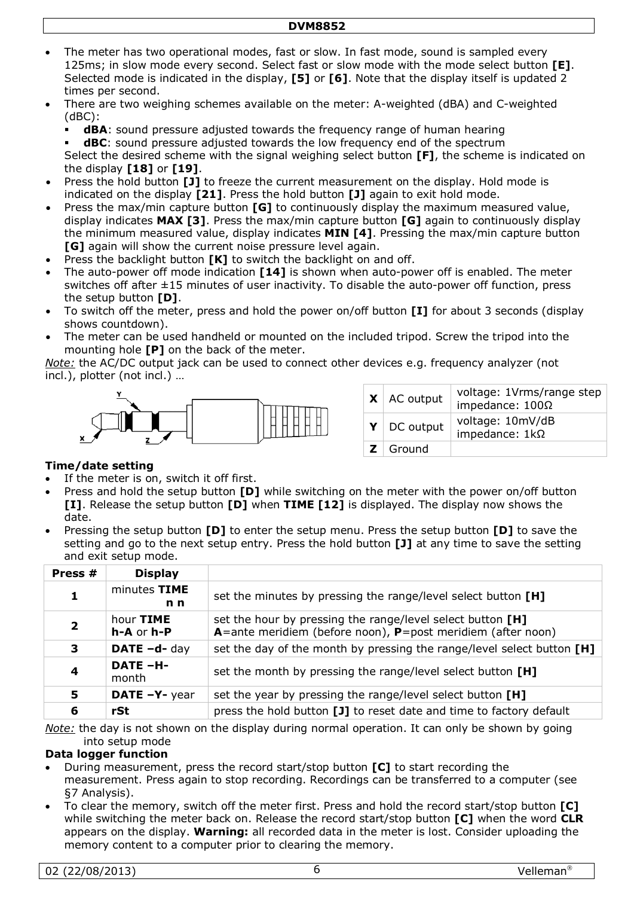- The meter has two operational modes, fast or slow. In fast mode, sound is sampled every 125ms; in slow mode every second. Select fast or slow mode with the mode select button **[E]**. Selected mode is indicated in the display, **[5]** or **[6]**. Note that the display itself is updated 2 times per second.
- There are two weighing schemes available on the meter: A-weighted (dBA) and C-weighted (dBC):
	- **dBA**: sound pressure adjusted towards the frequency range of human hearing
	- **dBC**: sound pressure adjusted towards the low frequency end of the spectrum Select the desired scheme with the signal weighing select button **[F]**, the scheme is indicated on the display **[18]** or **[19]**.
- Press the hold button **[J]** to freeze the current measurement on the display. Hold mode is indicated on the display **[21]**. Press the hold button **[J]** again to exit hold mode.
- Press the max/min capture button **[G]** to continuously display the maximum measured value, display indicates **MAX [3]**. Press the max/min capture button **[G]** again to continuously display the minimum measured value, display indicates **MIN [4]**. Pressing the max/min capture button **[G]** again will show the current noise pressure level again.
- Press the backlight button **[K]** to switch the backlight on and off.
- The auto-power off mode indication **[14]** is shown when auto-power off is enabled. The meter switches off after ±15 minutes of user inactivity. To disable the auto-power off function, press the setup button **[D]**.
- To switch off the meter, press and hold the power on/off button **[I]** for about 3 seconds (display shows countdown).
- The meter can be used handheld or mounted on the included tripod. Screw the tripod into the mounting hole **[P]** on the back of the meter.

*Note:* the AC/DC output jack can be used to connect other devices e.g. frequency analyzer (not incl.), plotter (not incl.) …



| $\mathsf{X}$   AC output | voltage: 1Vrms/range step<br>impedance: $100\Omega$ |
|--------------------------|-----------------------------------------------------|
| $Y \mid DC$ output       | voltage: 10mV/dB<br>impedance: $1k\Omega$           |
| $Z \mid$ Ground          |                                                     |

#### **Time/date setting**

- If the meter is on, switch it off first.
- Press and hold the setup button **[D]** while switching on the meter with the power on/off button **[I]**. Release the setup button **[D]** when **TIME [12]** is displayed. The display now shows the date.
- Pressing the setup button **[D]** to enter the setup menu. Press the setup button **[D]** to save the setting and go to the next setup entry. Press the hold button **[J]** at any time to save the setting and exit setup mode.

| Press #      | <b>Display</b>                 |                                                                                                                           |
|--------------|--------------------------------|---------------------------------------------------------------------------------------------------------------------------|
| 1            | minutes TIME<br>n <sub>n</sub> | set the minutes by pressing the range/level select button [H]                                                             |
| $\mathbf{2}$ | hour TIME<br>h-A or h-P        | set the hour by pressing the range/level select button [H]<br>A=ante meridiem (before noon), P=post meridiem (after noon) |
| 3            | DATE -d- day                   | set the day of the month by pressing the range/level select button $[H]$                                                  |
| 4            | <b>DATE-H-</b><br>month        | set the month by pressing the range/level select button [H]                                                               |
| 5            | DATE -Y- year                  | set the year by pressing the range/level select button [H]                                                                |
| 6            | rSt                            | press the hold button [J] to reset date and time to factory default                                                       |

*Note:* the day is not shown on the display during normal operation. It can only be shown by going into setup mode

#### **Data logger function**

- During measurement, press the record start/stop button **[C]** to start recording the measurement. Press again to stop recording. Recordings can be transferred to a computer (see [§7](#page-6-0) Analysis).
- To clear the memory, switch off the meter first. Press and hold the record start/stop button **[C]** while switching the meter back on. Release the record start/stop button **[C]** when the word **CLR** appears on the display. **Warning:** all recorded data in the meter is lost. Consider uploading the memory content to a computer prior to clearing the memory.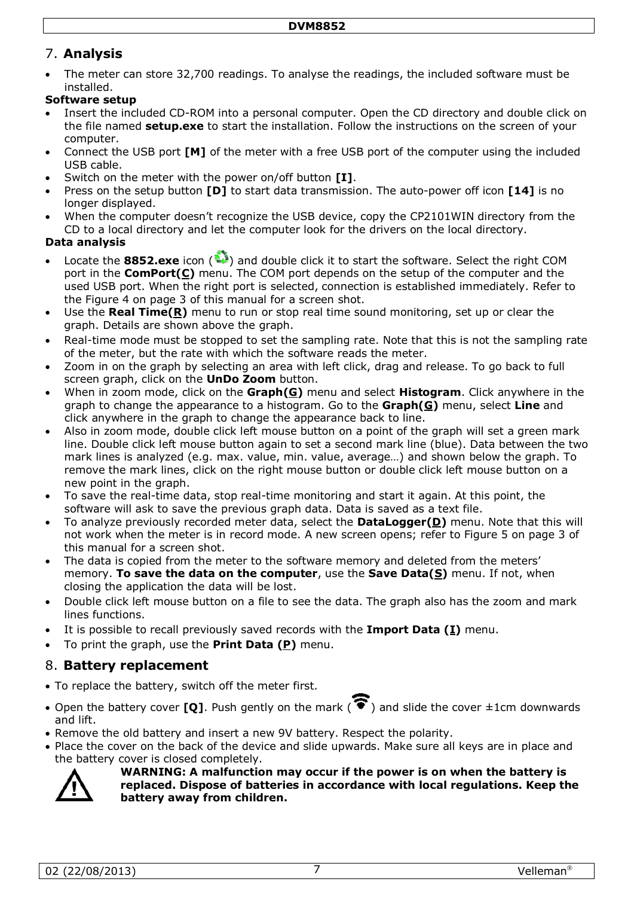## <span id="page-6-0"></span>7. **Analysis**

• The meter can store 32,700 readings. To analyse the readings, the included software must be installed.

## **Software setup**

- Insert the included CD-ROM into a personal computer. Open the CD directory and double click on the file named **setup.exe** to start the installation. Follow the instructions on the screen of your computer.
- Connect the USB port **[M]** of the meter with a free USB port of the computer using the included USB cable.
- Switch on the meter with the power on/off button **[I]**.
- Press on the setup button **[D]** to start data transmission. The auto-power off icon **[14]** is no longer displayed.
- When the computer doesn't recognize the USB device, copy the CP2101WIN directory from the CD to a local directory and let the computer look for the drivers on the local directory.

#### **Data analysis**

- Locate the **8852.exe** icon ( ) and double click it to start the software. Select the right COM port in the **ComPort(C)** menu. The COM port depends on the setup of the computer and the used USB port. When the right port is selected, connection is established immediately. Refer to the [Figure 4](#page-2-0) on page [3](#page-2-0) of this manual for a screen shot.
- Use the **Real Time(R)** menu to run or stop real time sound monitoring, set up or clear the graph. Details are shown above the graph.
- Real-time mode must be stopped to set the sampling rate. Note that this is not the sampling rate of the meter, but the rate with which the software reads the meter.
- Zoom in on the graph by selecting an area with left click, drag and release. To go back to full screen graph, click on the **UnDo Zoom** button.
- When in zoom mode, click on the **Graph(G)** menu and select **Histogram**. Click anywhere in the graph to change the appearance to a histogram. Go to the **Graph(G)** menu, select **Line** and click anywhere in the graph to change the appearance back to line.
- Also in zoom mode, double click left mouse button on a point of the graph will set a green mark line. Double click left mouse button again to set a second mark line (blue). Data between the two mark lines is analyzed (e.g. max. value, min. value, average…) and shown below the graph. To remove the mark lines, click on the right mouse button or double click left mouse button on a new point in the graph.
- To save the real-time data, stop real-time monitoring and start it again. At this point, the software will ask to save the previous graph data. Data is saved as a text file.
- To analyze previously recorded meter data, select the **DataLogger(D)** menu. Note that this will not work when the meter is in record mode. A new screen opens; refer to [Figure 5](#page-2-1) on page [3](#page-2-1) of this manual for a screen shot.
- The data is copied from the meter to the software memory and deleted from the meters' memory. **To save the data on the computer**, use the **Save Data(S)** menu. If not, when closing the application the data will be lost.
- Double click left mouse button on a file to see the data. The graph also has the zoom and mark lines functions.
- It is possible to recall previously saved records with the **Import Data (I)** menu.
- To print the graph, use the **Print Data (P)** menu.

## 8. **Battery replacement**

- To replace the battery, switch off the meter first.
- Open the battery cover **[Q]**. Push gently on the mark ( $\widehat{\bullet}$ ) and slide the cover  $\pm$ 1cm downwards and lift.
- Remove the old battery and insert a new 9V battery. Respect the polarity.
- Place the cover on the back of the device and slide upwards. Make sure all keys are in place and the battery cover is closed completely.



#### **WARNING: A malfunction may occur if the power is on when the battery is replaced. Dispose of batteries in accordance with local regulations. Keep the battery away from children.**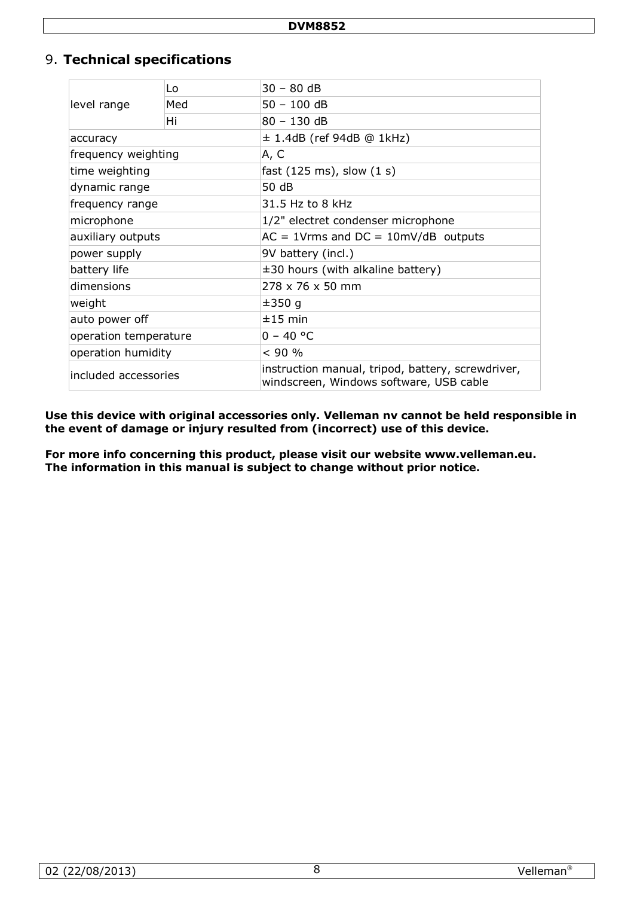## 9. **Technical specifications**

|                       | Lo  | 30 - 80 dB                                                                                   |  |  |
|-----------------------|-----|----------------------------------------------------------------------------------------------|--|--|
| level range           | Med | $50 - 100$ dB                                                                                |  |  |
|                       | Hi  | $80 - 130$ dB                                                                                |  |  |
| accuracy              |     | $\pm$ 1.4dB (ref 94dB @ 1kHz)                                                                |  |  |
| frequency weighting   |     | A, C                                                                                         |  |  |
| time weighting        |     | fast $(125 \text{ ms})$ , slow $(1 \text{ s})$                                               |  |  |
| dynamic range         |     | 50 dB                                                                                        |  |  |
| frequency range       |     | 31.5 Hz to 8 kHz                                                                             |  |  |
| microphone            |     | 1/2" electret condenser microphone                                                           |  |  |
| auxiliary outputs     |     | $AC = 1$ Vrms and $DC = 10$ mV/dB outputs                                                    |  |  |
| power supply          |     | 9V battery (incl.)                                                                           |  |  |
| battery life          |     | $\pm 30$ hours (with alkaline battery)                                                       |  |  |
| dimensions            |     | 278 x 76 x 50 mm                                                                             |  |  |
| weight                |     | ±350q                                                                                        |  |  |
| auto power off        |     | $±15$ min                                                                                    |  |  |
| operation temperature |     | $0 - 40 °C$                                                                                  |  |  |
| operation humidity    |     | < 90 %                                                                                       |  |  |
| included accessories  |     | instruction manual, tripod, battery, screwdriver,<br>windscreen, Windows software, USB cable |  |  |

**Use this device with original accessories only. Velleman nv cannot be held responsible in the event of damage or injury resulted from (incorrect) use of this device.**

**For more info concerning this product, please visit our website www.velleman.eu. The information in this manual is subject to change without prior notice.**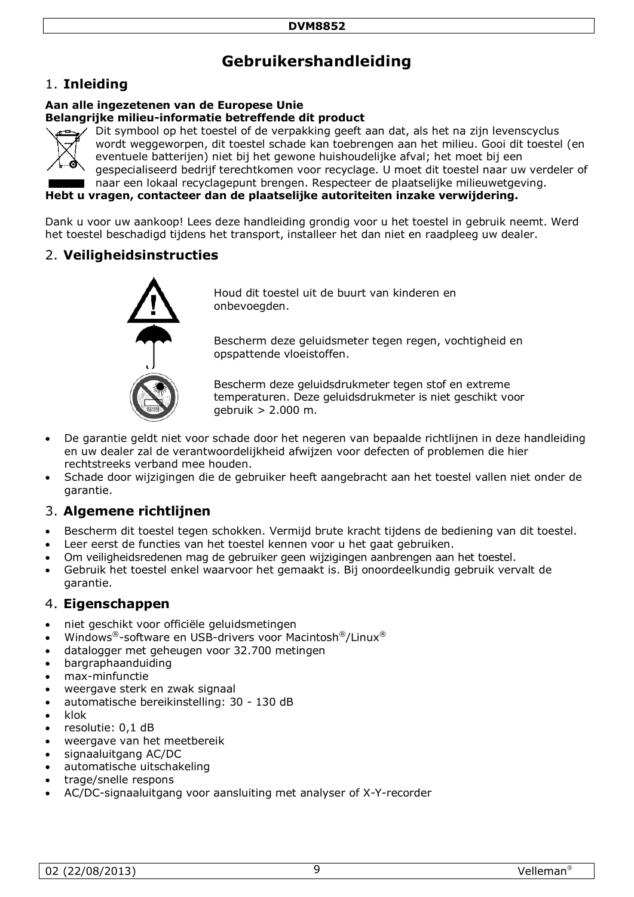# **Gebruikershandleiding**

## 1. **Inleiding**

#### **Aan alle ingezetenen van de Europese Unie Belangrijke milieu-informatie betreffende dit product**



Dit symbool op het toestel of de verpakking geeft aan dat, als het na zijn levenscyclus wordt weggeworpen, dit toestel schade kan toebrengen aan het milieu. Gooi dit toestel (en eventuele batterijen) niet bij het gewone huishoudelijke afval; het moet bij een gespecialiseerd bedrijf terechtkomen voor recyclage. U moet dit toestel naar uw verdeler of naar een lokaal recyclagepunt brengen. Respecteer de plaatselijke milieuwetgeving.

**Hebt u vragen, contacteer dan de plaatselijke autoriteiten inzake verwijdering.**

Dank u voor uw aankoop! Lees deze handleiding grondig voor u het toestel in gebruik neemt. Werd het toestel beschadigd tijdens het transport, installeer het dan niet en raadpleeg uw dealer.

## 2. **Veiligheidsinstructies**



Houd dit toestel uit de buurt van kinderen en onbevoegden.

Bescherm deze geluidsmeter tegen regen, vochtigheid en opspattende vloeistoffen.

Bescherm deze geluidsdrukmeter tegen stof en extreme temperaturen. Deze geluidsdrukmeter is niet geschikt voor gebruik > 2.000 m.

- De garantie geldt niet voor schade door het negeren van bepaalde richtlijnen in deze handleiding en uw dealer zal de verantwoordelijkheid afwijzen voor defecten of problemen die hier rechtstreeks verband mee houden.
- Schade door wijzigingen die de gebruiker heeft aangebracht aan het toestel vallen niet onder de garantie.

## 3. **Algemene richtlijnen**

- Bescherm dit toestel tegen schokken. Vermijd brute kracht tijdens de bediening van dit toestel.
- Leer eerst de functies van het toestel kennen voor u het gaat gebruiken.
- Om veiligheidsredenen mag de gebruiker geen wijzigingen aanbrengen aan het toestel.
- Gebruik het toestel enkel waarvoor het gemaakt is. Bij onoordeelkundig gebruik vervalt de garantie.

## 4. **Eigenschappen**

- niet geschikt voor officiële geluidsmetingen
- Windows®-software en USB-drivers voor Macintosh®/Linux®
- datalogger met geheugen voor 32.700 metingen
- bargraphaanduiding
- max-minfunctie
- weergave sterk en zwak signaal
- automatische bereikinstelling: 30 130 dB
- klok
- resolutie: 0,1 dB
- weergave van het meetbereik
- signaaluitgang AC/DC
- automatische uitschakeling
- trage/snelle respons
- AC/DC-signaaluitgang voor aansluiting met analyser of X-Y-recorder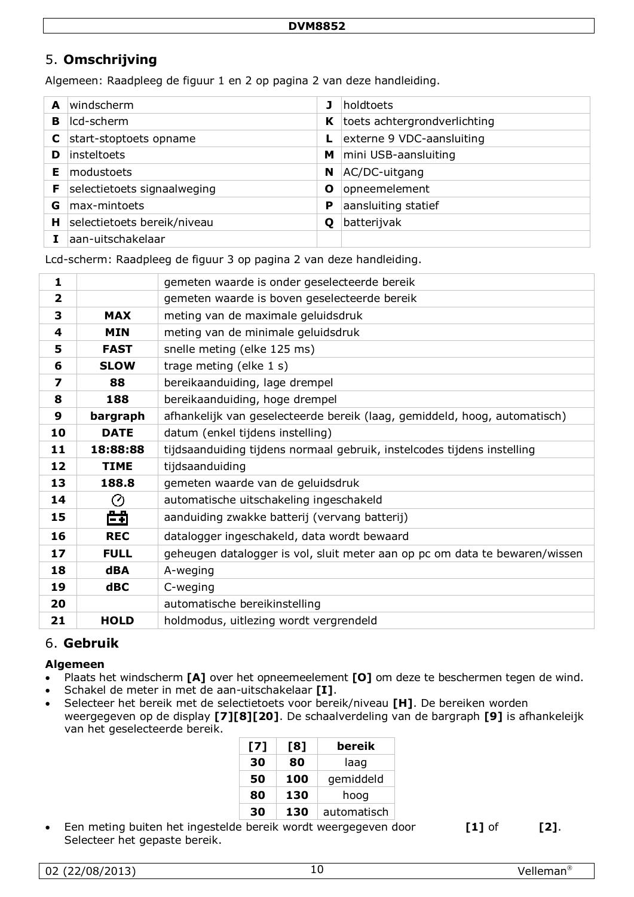## 5. **Omschrijving**

Algemeen: Raadpleeg de figuur 1 en 2 op pagina [2](#page-1-0) van deze handleiding.

| A | windscherm                  |   | holdtoets                    |
|---|-----------------------------|---|------------------------------|
| в | Icd-scherm                  | K | toets achtergrondverlichting |
|   | start-stoptoets opname      |   | externe 9 VDC-aansluiting    |
| D | insteltoets                 | м | mini USB-aansluiting         |
| Е | modustoets                  | N | AC/DC-uitgang                |
| F | selectietoets signaalweging | Ο | opneemelement                |
| G | max-mintoets                | P | aansluiting statief          |
| н | selectietoets bereik/niveau | O | batterijvak                  |
|   | aan-uitschakelaar           |   |                              |

Lcd-scherm: Raadpleeg de figuur 3 op pagina [2](#page-1-0) van deze handleiding.

| 1            |             | gemeten waarde is onder geselecteerde bereik                                |  |
|--------------|-------------|-----------------------------------------------------------------------------|--|
| $\mathbf{2}$ |             | gemeten waarde is boven geselecteerde bereik                                |  |
| 3            | <b>MAX</b>  | meting van de maximale geluidsdruk                                          |  |
| 4            | <b>MIN</b>  | meting van de minimale geluidsdruk                                          |  |
| 5            | <b>FAST</b> | snelle meting (elke 125 ms)                                                 |  |
| 6            | <b>SLOW</b> | trage meting (elke 1 s)                                                     |  |
| 7            | 88          | bereikaanduiding, lage drempel                                              |  |
| 8            | 188         | bereikaanduiding, hoge drempel                                              |  |
| 9            | bargraph    | afhankelijk van geselecteerde bereik (laag, gemiddeld, hoog, automatisch)   |  |
| 10           | <b>DATE</b> | datum (enkel tijdens instelling)                                            |  |
| 11           | 18:88:88    | tijdsaanduiding tijdens normaal gebruik, instelcodes tijdens instelling     |  |
| 12           | <b>TIME</b> | tijdsaanduiding                                                             |  |
| 13           | 188.8       | gemeten waarde van de geluidsdruk                                           |  |
| 14           | Ø           | automatische uitschakeling ingeschakeld                                     |  |
| 15           | 曲           | aanduiding zwakke batterij (vervang batterij)                               |  |
| 16           | <b>REC</b>  | datalogger ingeschakeld, data wordt bewaard                                 |  |
| 17           | <b>FULL</b> | geheugen datalogger is vol, sluit meter aan op pc om data te bewaren/wissen |  |
| 18           | <b>dBA</b>  | A-weging                                                                    |  |
| 19           | $d$ BC      | C-weging                                                                    |  |
| 20           |             | automatische bereikinstelling                                               |  |
| 21           | <b>HOLD</b> | holdmodus, uitlezing wordt vergrendeld                                      |  |

## 6. **Gebruik**

#### **Algemeen**

- Plaats het windscherm **[A]** over het opneemeelement **[O]** om deze te beschermen tegen de wind.
- Schakel de meter in met de aan-uitschakelaar **[I]**.
- Selecteer het bereik met de selectietoets voor bereik/niveau **[H]**. De bereiken worden weergegeven op de display **[7][8][20]**. De schaalverdeling van de bargraph **[9]** is afhankeleijk van het geselecteerde bereik.

| [7] | [8] | bereik      |
|-----|-----|-------------|
| 30  | 80  | laag        |
| 50  | 100 | gemiddeld   |
| 80  | 130 | hoog        |
| 30  | 130 | automatisch |

• Een meting buiten het ingestelde bereik wordt weergegeven door [1] of [2]. Selecteer het gepaste bereik.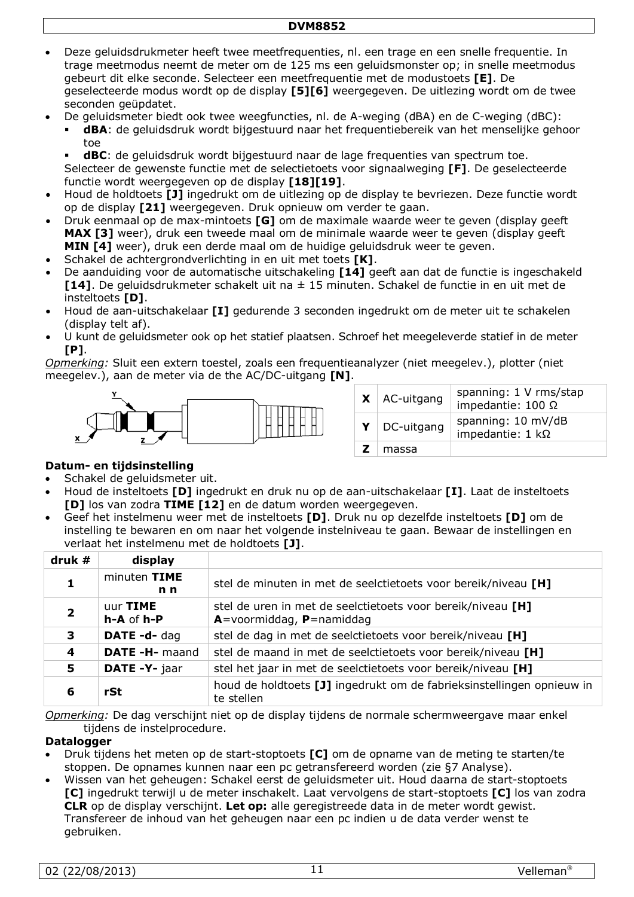- Deze geluidsdrukmeter heeft twee meetfrequenties, nl. een trage en een snelle frequentie. In trage meetmodus neemt de meter om de 125 ms een geluidsmonster op; in snelle meetmodus gebeurt dit elke seconde. Selecteer een meetfrequentie met de modustoets **[E]**. De geselecteerde modus wordt op de display **[5][6]** weergegeven. De uitlezing wordt om de twee seconden geüpdatet.
- De geluidsmeter biedt ook twee weegfuncties, nl. de A-weging (dBA) en de C-weging (dBC):
	- **dBA**: de geluidsdruk wordt bijgestuurd naar het frequentiebereik van het menselijke gehoor toe

 **dBC**: de geluidsdruk wordt bijgestuurd naar de lage frequenties van spectrum toe. Selecteer de gewenste functie met de selectietoets voor signaalweging **[F]**. De geselecteerde functie wordt weergegeven op de display **[18][19]**.

- Houd de holdtoets **[J]** ingedrukt om de uitlezing op de display te bevriezen. Deze functie wordt op de display **[21]** weergegeven. Druk opnieuw om verder te gaan.
- Druk eenmaal op de max-mintoets **[G]** om de maximale waarde weer te geven (display geeft MAX [3] weer), druk een tweede maal om de minimale waarde weer te geven (display geeft **MIN [4]** weer), druk een derde maal om de huidige geluidsdruk weer te geven.
- Schakel de achtergrondverlichting in en uit met toets **[K]**.
- De aanduiding voor de automatische uitschakeling **[14]** geeft aan dat de functie is ingeschakeld **[14]**. De geluidsdrukmeter schakelt uit na ± 15 minuten. Schakel de functie in en uit met de insteltoets **[D]**.
- Houd de aan-uitschakelaar **[I]** gedurende 3 seconden ingedrukt om de meter uit te schakelen (display telt af).
- U kunt de geluidsmeter ook op het statief plaatsen. Schroef het meegeleverde statief in de meter **[P]**.

*Opmerking:* Sluit een extern toestel, zoals een frequentieanalyzer (niet meegelev.), plotter (niet meegelev.), aan de meter via de the AC/DC-uitgang **[N]**.



|   | $X \mid AC$ -uitgang | spanning: 1 V rms/stap<br>impedantie: $100 \Omega$ |
|---|----------------------|----------------------------------------------------|
| Y | DC-uitgang           | spanning: 10 mV/dB<br>impedantie: $1 k\Omega$      |
|   | massa                |                                                    |

#### **Datum- en tijdsinstelling**

- Schakel de geluidsmeter uit.
- Houd de insteltoets **[D]** ingedrukt en druk nu op de aan-uitschakelaar **[I]**. Laat de insteltoets **[D]** los van zodra **TIME [12]** en de datum worden weergegeven.
- Geef het instelmenu weer met de insteltoets **[D]**. Druk nu op dezelfde insteltoets **[D]** om de instelling te bewaren en om naar het volgende instelniveau te gaan. Bewaar de instellingen en verlaat het instelmenu met de holdtoets **[J]**.

| druk# | display                        |                                                                                               |
|-------|--------------------------------|-----------------------------------------------------------------------------------------------|
|       | minuten TIME<br>n <sub>n</sub> | stel de minuten in met de seelctietoets voor bereik/niveau [H]                                |
|       | uur TIME<br>h-A of h-P         | stel de uren in met de seelctietoets voor bereik/niveau [H]<br>$A=$ voormiddag, $P=$ namiddag |
| 3     | DATE-d-dag                     | stel de dag in met de seelctietoets voor bereik/niveau [H]                                    |
| 4     | DATE -H- maand                 | stel de maand in met de seelctietoets voor bereik/niveau [H]                                  |
| 5     | DATE -Y- jaar                  | stel het jaar in met de seelctietoets voor bereik/niveau [H]                                  |
| 6     | rSt                            | houd de holdtoets [J] ingedrukt om de fabrieksinstellingen opnieuw in<br>te stellen           |

*Opmerking:* De dag verschijnt niet op de display tijdens de normale schermweergave maar enkel tijdens de instelprocedure.

#### **Datalogger**

- Druk tijdens het meten op de start-stoptoets **[C]** om de opname van de meting te starten/te stoppen. De opnames kunnen naar een pc getransfereerd worden (zie [§7](#page-6-0) Analyse).
- Wissen van het geheugen: Schakel eerst de geluidsmeter uit. Houd daarna de start-stoptoets **[C]** ingedrukt terwijl u de meter inschakelt. Laat vervolgens de start-stoptoets **[C]** los van zodra **CLR** op de display verschijnt. **Let op:** alle geregistreede data in de meter wordt gewist. Transfereer de inhoud van het geheugen naar een pc indien u de data verder wenst te gebruiken.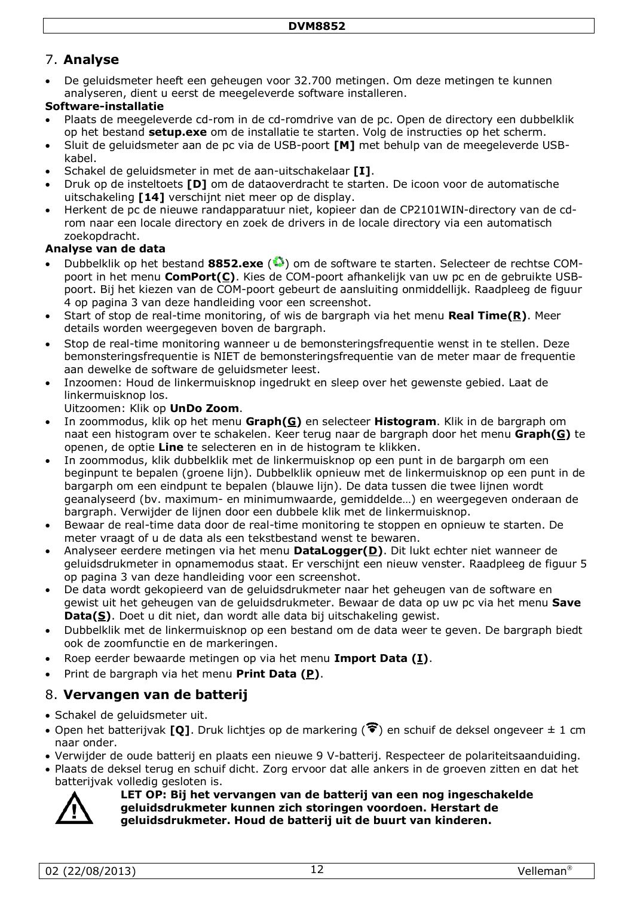## 7. **Analyse**

• De geluidsmeter heeft een geheugen voor 32.700 metingen. Om deze metingen te kunnen analyseren, dient u eerst de meegeleverde software installeren.

#### **Software-installatie**

- Plaats de meegeleverde cd-rom in de cd-romdrive van de pc. Open de directory een dubbelklik op het bestand **setup.exe** om de installatie te starten. Volg de instructies op het scherm.
- Sluit de geluidsmeter aan de pc via de USB-poort **[M]** met behulp van de meegeleverde USBkabel.
- Schakel de geluidsmeter in met de aan-uitschakelaar **[I]**.
- Druk op de insteltoets **[D]** om de dataoverdracht te starten. De icoon voor de automatische uitschakeling **[14]** verschijnt niet meer op de display.
- Herkent de pc de nieuwe randapparatuur niet, kopieer dan de CP2101WIN-directory van de cdrom naar een locale directory en zoek de drivers in de locale directory via een automatisch zoekopdracht.

## **Analyse van de data**

- Dubbelklik op het bestand **8852.exe** ( ) om de software te starten. Selecteer de rechtse COMpoort in het menu **ComPort(C)**. Kies de COM-poort afhankelijk van uw pc en de gebruikte USBpoort. Bij het kiezen van de COM-poort gebeurt de aansluiting onmiddellijk. Raadpleeg de figuur 4 op pagina [3](#page-2-0) van deze handleiding voor een screenshot.
- Start of stop de real-time monitoring, of wis de bargraph via het menu **Real Time(R)**. Meer details worden weergegeven boven de bargraph.
- Stop de real-time monitoring wanneer u de bemonsteringsfrequentie wenst in te stellen. Deze bemonsteringsfrequentie is NIET de bemonsteringsfrequentie van de meter maar de frequentie aan dewelke de software de geluidsmeter leest.
- Inzoomen: Houd de linkermuisknop ingedrukt en sleep over het gewenste gebied. Laat de linkermuisknop los.

#### Uitzoomen: Klik op **UnDo Zoom**.

- In zoommodus, klik op het menu **Graph(G)** en selecteer **Histogram**. Klik in de bargraph om naat een histogram over te schakelen. Keer terug naar de bargraph door het menu **Graph(G)** te openen, de optie **Line** te selecteren en in de histogram te klikken.
- In zoommodus, klik dubbelklik met de linkermuisknop op een punt in de bargarph om een beginpunt te bepalen (groene lijn). Dubbelklik opnieuw met de linkermuisknop op een punt in de bargarph om een eindpunt te bepalen (blauwe lijn). De data tussen die twee lijnen wordt geanalyseerd (bv. maximum- en minimumwaarde, gemiddelde…) en weergegeven onderaan de bargraph. Verwijder de lijnen door een dubbele klik met de linkermuisknop.
- Bewaar de real-time data door de real-time monitoring te stoppen en opnieuw te starten. De meter vraagt of u de data als een tekstbestand wenst te bewaren.
- Analyseer eerdere metingen via het menu **DataLogger(D)**. Dit lukt echter niet wanneer de geluidsdrukmeter in opnamemodus staat. Er verschijnt een nieuw venster. Raadpleeg de figuur 5 op pagina [3](#page-2-1) van deze handleiding voor een screenshot.
- De data wordt gekopieerd van de geluidsdrukmeter naar het geheugen van de software en gewist uit het geheugen van de geluidsdrukmeter. Bewaar de data op uw pc via het menu **Save Data(S)**. Doet u dit niet, dan wordt alle data bij uitschakeling gewist.
- Dubbelklik met de linkermuisknop op een bestand om de data weer te geven. De bargraph biedt ook de zoomfunctie en de markeringen.
- Roep eerder bewaarde metingen op via het menu **Import Data (I)**.
- Print de bargraph via het menu **Print Data (P)**.

## 8. **Vervangen van de batterij**

- Schakel de geluidsmeter uit.
- Open het batterijvak **[O]**. Druk lichtjes op de markering ( $\widehat{\mathcal{F}}$ ) en schuif de deksel ongeveer  $\pm$  1 cm naar onder.
- Verwijder de oude batterij en plaats een nieuwe 9 V-batterij. Respecteer de polariteitsaanduiding.
- Plaats de deksel terug en schuif dicht. Zorg ervoor dat alle ankers in de groeven zitten en dat het batterijvak volledig gesloten is.



**LET OP: Bij het vervangen van de batterij van een nog ingeschakelde geluidsdrukmeter kunnen zich storingen voordoen. Herstart de geluidsdrukmeter. Houd de batterij uit de buurt van kinderen.**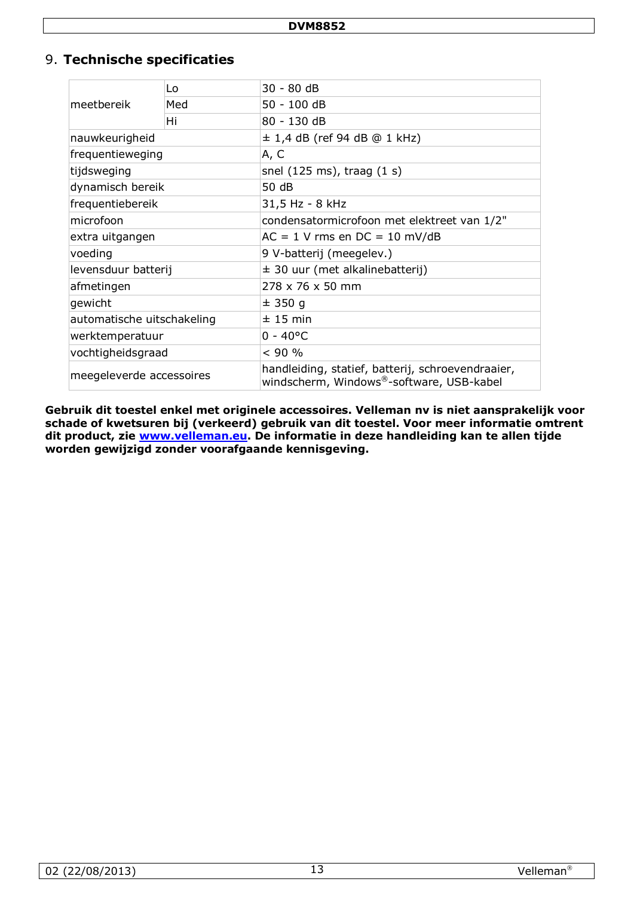## 9. **Technische specificaties**

| meetbereik                 | Lo  | 30 - 80 dB                                                                                    |
|----------------------------|-----|-----------------------------------------------------------------------------------------------|
|                            | Med | 50 - 100 dB                                                                                   |
|                            | Hi  | 80 - 130 dB                                                                                   |
| nauwkeurigheid             |     | $\pm$ 1,4 dB (ref 94 dB @ 1 kHz)                                                              |
| frequentieweging           |     | A, C                                                                                          |
| tijdsweging                |     | snel $(125 \text{ ms})$ , traag $(1 \text{ s})$                                               |
| dynamisch bereik           |     | 50 dB                                                                                         |
| frequentiebereik           |     | 31,5 Hz - 8 kHz                                                                               |
| microfoon                  |     | condensatormicrofoon met elektreet van 1/2"                                                   |
| extra uitgangen            |     | $AC = 1$ V rms en $DC = 10$ mV/dB                                                             |
| voeding                    |     | 9 V-batterij (meegelev.)                                                                      |
| levensduur batterij        |     | $\pm$ 30 uur (met alkalinebatterij)                                                           |
| afmetingen                 |     | 278 x 76 x 50 mm                                                                              |
| gewicht                    |     | ± 350 g                                                                                       |
| automatische uitschakeling |     | ± 15 min                                                                                      |
| werktemperatuur            |     | $0 - 40^{\circ}C$                                                                             |
| vochtigheidsgraad          |     | < 90 %                                                                                        |
| meegeleverde accessoires   |     | handleiding, statief, batterij, schroevendraaier,<br>windscherm, Windows®-software, USB-kabel |

**Gebruik dit toestel enkel met originele accessoires. Velleman nv is niet aansprakelijk voor schade of kwetsuren bij (verkeerd) gebruik van dit toestel. Voor meer informatie omtrent dit product, zie [www.velleman.eu.](http://www.velleman.eu/) De informatie in deze handleiding kan te allen tijde worden gewijzigd zonder voorafgaande kennisgeving.**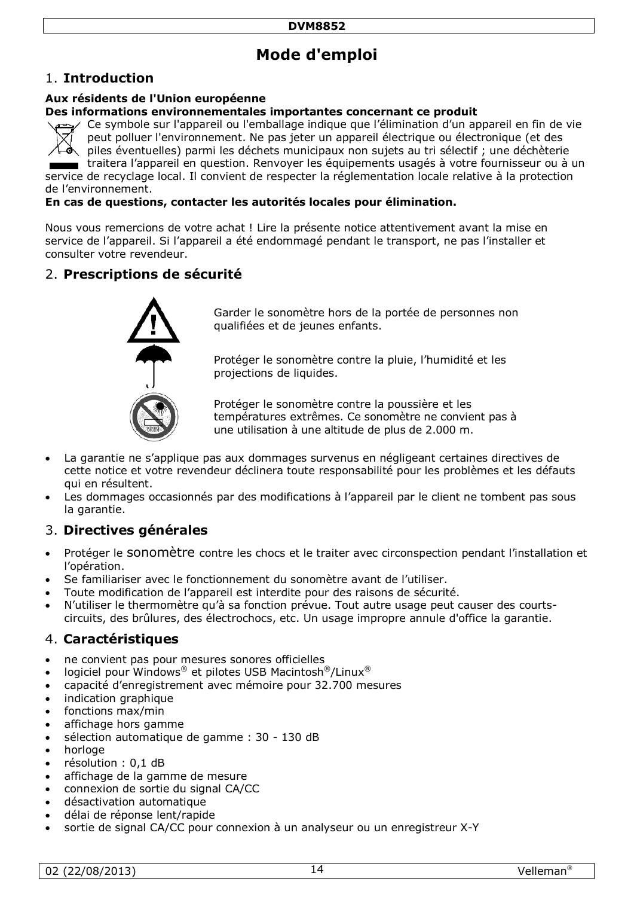# **Mode d'emploi**

## 1. **Introduction**

#### **Aux résidents de l'Union européenne**

#### **Des informations environnementales importantes concernant ce produit**

Ce symbole sur l'appareil ou l'emballage indique que l'élimination d'un appareil en fin de vie peut polluer l'environnement. Ne pas jeter un appareil électrique ou électronique (et des piles éventuelles) parmi les déchets municipaux non sujets au tri sélectif ; une déchèterie

traitera l'appareil en question. Renvoyer les équipements usagés à votre fournisseur ou à un service de recyclage local. Il convient de respecter la réglementation locale relative à la protection de l'environnement.

#### **En cas de questions, contacter les autorités locales pour élimination.**

Nous vous remercions de votre achat ! Lire la présente notice attentivement avant la mise en service de l'appareil. Si l'appareil a été endommagé pendant le transport, ne pas l'installer et consulter votre revendeur.

## 2. **Prescriptions de sécurité**



Garder le sonomètre hors de la portée de personnes non qualifiées et de jeunes enfants.

Protéger le sonomètre contre la pluie, l'humidité et les projections de liquides.

Protéger le sonomètre contre la poussière et les températures extrêmes. Ce sonomètre ne convient pas à une utilisation à une altitude de plus de 2.000 m.

- La garantie ne s'applique pas aux dommages survenus en négligeant certaines directives de cette notice et votre revendeur déclinera toute responsabilité pour les problèmes et les défauts qui en résultent.
- Les dommages occasionnés par des modifications à l'appareil par le client ne tombent pas sous la garantie.

## 3. **Directives générales**

- Protéger le sonomètre contre les chocs et le traiter avec circonspection pendant l'installation et l'opération.
- Se familiariser avec le fonctionnement du sonomètre avant de l'utiliser.
- Toute modification de l'appareil est interdite pour des raisons de sécurité.
- N'utiliser le thermomètre qu'à sa fonction prévue. Tout autre usage peut causer des courtscircuits, des brûlures, des électrochocs, etc. Un usage impropre annule d'office la garantie.

## 4. **Caractéristiques**

- ne convient pas pour mesures sonores officielles
- logiciel pour Windows® et pilotes USB Macintosh®/Linux®
- capacité d'enregistrement avec mémoire pour 32.700 mesures
- indication graphique
- fonctions max/min
- affichage hors gamme
- sélection automatique de gamme : 30 130 dB
- horloge
- résolution : 0,1 dB
- affichage de la gamme de mesure
- connexion de sortie du signal CA/CC
- désactivation automatique
- délai de réponse lent/rapide
- sortie de signal CA/CC pour connexion à un analyseur ou un enregistreur X-Y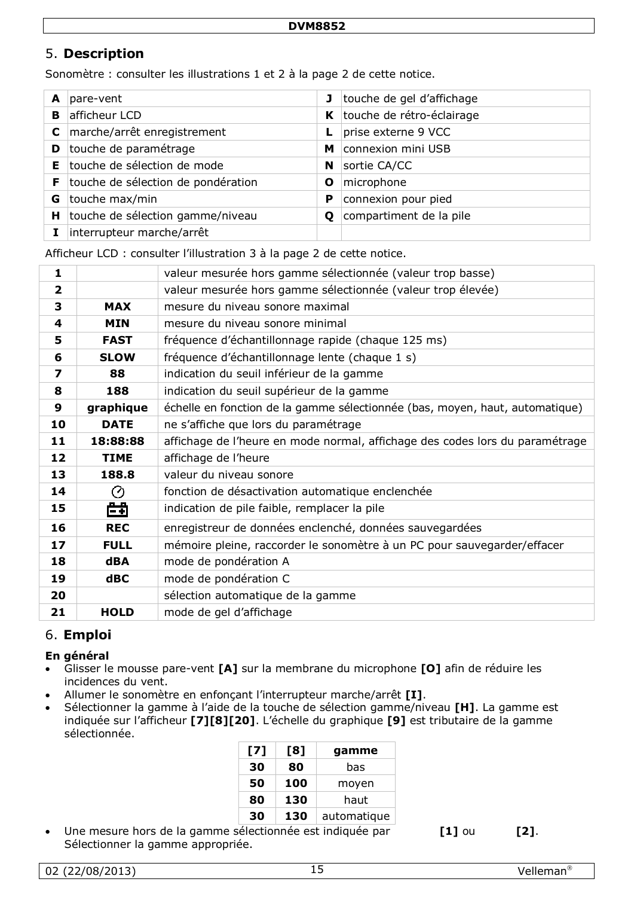## 5. **Description**

Sonomètre : consulter les illustrations 1 et 2 à la page [2](#page-1-0) de cette notice.

| A  | pare-vent                          | $\mathbf{J}$ | touche de gel d'affichage |
|----|------------------------------------|--------------|---------------------------|
| в  | afficheur LCD                      | K            | touche de rétro-éclairage |
| C  | marche/arrêt enregistrement        |              | prise externe 9 VCC       |
| D  | touche de paramétrage              | м            | connexion mini USB        |
| Е  | touche de sélection de mode        | N            | sortie CA/CC              |
| F. | touche de sélection de pondération | Ο            | microphone                |
| G  | touche max/min                     | P            | connexion pour pied       |
| н  | touche de sélection gamme/niveau   | Ο            | compartiment de la pile   |
|    | interrupteur marche/arrêt          |              |                           |

Afficheur LCD : consulter l'illustration 3 à la page [2](#page-1-0) de cette notice.

| 1            |             | valeur mesurée hors gamme sélectionnée (valeur trop basse)                   |
|--------------|-------------|------------------------------------------------------------------------------|
| $\mathbf{2}$ |             | valeur mesurée hors gamme sélectionnée (valeur trop élevée)                  |
| 3            | <b>MAX</b>  | mesure du niveau sonore maximal                                              |
| 4            | <b>MIN</b>  | mesure du niveau sonore minimal                                              |
| 5            | <b>FAST</b> | fréquence d'échantillonnage rapide (chaque 125 ms)                           |
| 6            | <b>SLOW</b> | fréquence d'échantillonnage lente (chaque 1 s)                               |
| 7            | 88          | indication du seuil inférieur de la gamme                                    |
| 8            | 188         | indication du seuil supérieur de la gamme                                    |
| 9            | graphique   | échelle en fonction de la gamme sélectionnée (bas, moyen, haut, automatique) |
| 10           | <b>DATE</b> | ne s'affiche que lors du paramétrage                                         |
| 11           | 18:88:88    | affichage de l'heure en mode normal, affichage des codes lors du paramétrage |
| 12           | <b>TIME</b> | affichage de l'heure                                                         |
| 13           | 188.8       | valeur du niveau sonore                                                      |
| 14           | ⊘           | fonction de désactivation automatique enclenchée                             |
| 15           | 曲           | indication de pile faible, remplacer la pile                                 |
| 16           | <b>REC</b>  | enregistreur de données enclenché, données sauvegardées                      |
| 17           | <b>FULL</b> | mémoire pleine, raccorder le sonomètre à un PC pour sauvegarder/effacer      |
| 18           | <b>dBA</b>  | mode de pondération A                                                        |
| 19           | $d$ BC      | mode de pondération C                                                        |
| 20           |             | sélection automatique de la gamme                                            |
| 21           | <b>HOLD</b> | mode de gel d'affichage                                                      |

## 6. **Emploi**

## **En général**

- Glisser le mousse pare-vent **[A]** sur la membrane du microphone **[O]** afin de réduire les incidences du vent.
- Allumer le sonomètre en enfonçant l'interrupteur marche/arrêt **[I]**.
- Sélectionner la gamme à l'aide de la touche de sélection gamme/niveau **[H]**. La gamme est indiquée sur l'afficheur **[7][8][20]**. L'échelle du graphique **[9]** est tributaire de la gamme sélectionnée.

| [7] | [8] | gamme       |
|-----|-----|-------------|
| 30  | 80  | has         |
| 50  | 100 | moyen       |
| 80  | 130 | haut        |
| 30  | 130 | automatique |

• Une mesure hors de la gamme sélectionnée est indiquée par **[1]** ou **[2]**. Sélectionner la gamme appropriée.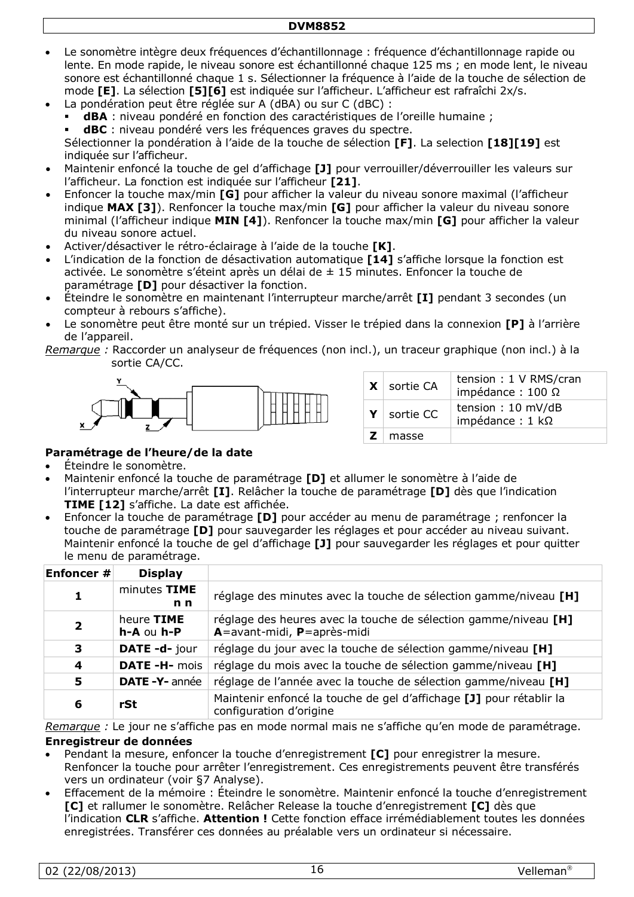- Le sonomètre intègre deux fréquences d'échantillonnage : fréquence d'échantillonnage rapide ou lente. En mode rapide, le niveau sonore est échantillonné chaque 125 ms ; en mode lent, le niveau sonore est échantillonné chaque 1 s. Sélectionner la fréquence à l'aide de la touche de sélection de mode **[E]**. La sélection **[5][6]** est indiquée sur l'afficheur. L'afficheur est rafraîchi 2x/s.
- La pondération peut être réglée sur A (dBA) ou sur C (dBC) :
	- **dBA** : niveau pondéré en fonction des caractéristiques de l'oreille humaine ;
	- **dBC** : niveau pondéré vers les fréquences graves du spectre.

Sélectionner la pondération à l'aide de la touche de sélection **[F]**. La selection **[18][19]** est indiquée sur l'afficheur.

- Maintenir enfoncé la touche de gel d'affichage **[J]** pour verrouiller/déverrouiller les valeurs sur l'afficheur. La fonction est indiquée sur l'afficheur **[21]**.
- Enfoncer la touche max/min **[G]** pour afficher la valeur du niveau sonore maximal (l'afficheur indique **MAX [3]**). Renfoncer la touche max/min **[G]** pour afficher la valeur du niveau sonore minimal (l'afficheur indique **MIN [4]**). Renfoncer la touche max/min **[G]** pour afficher la valeur du niveau sonore actuel.
- Activer/désactiver le rétro-éclairage à l'aide de la touche **[K]**.
- L'indication de la fonction de désactivation automatique **[14]** s'affiche lorsque la fonction est activée. Le sonomètre s'éteint après un délai de ± 15 minutes. Enfoncer la touche de paramétrage **[D]** pour désactiver la fonction.
- Éteindre le sonomètre en maintenant l'interrupteur marche/arrêt **[I]** pendant 3 secondes (un compteur à rebours s'affiche).
- Le sonomètre peut être monté sur un trépied. Visser le trépied dans la connexion **[P]** à l'arrière de l'appareil.

*Remarque :* Raccorder un analyseur de fréquences (non incl.), un traceur graphique (non incl.) à la sortie CA/CC.



|            | $X$ sortie CA | tension: 1 V RMS/cran<br>impédance: $100 \Omega$ |
|------------|---------------|--------------------------------------------------|
| Y          | sortie CC     | tension: 10 mV/dB<br>impédance : $1$ k $\Omega$  |
| <b>Z</b> 1 | masse         |                                                  |

#### **Paramétrage de l'heure/de la date**

- Éteindre le sonomètre.
- Maintenir enfoncé la touche de paramétrage **[D]** et allumer le sonomètre à l'aide de l'interrupteur marche/arrêt **[I]**. Relâcher la touche de paramétrage **[D]** dès que l'indication **TIME [12]** s'affiche. La date est affichée.
- Enfoncer la touche de paramétrage **[D]** pour accéder au menu de paramétrage ; renfoncer la touche de paramétrage **[D]** pour sauvegarder les réglages et pour accéder au niveau suivant. Maintenir enfoncé la touche de gel d'affichage **[J]** pour sauvegarder les réglages et pour quitter le menu de paramétrage.

| Enfoncer #              | <b>Display</b>                   |                                                                                                |
|-------------------------|----------------------------------|------------------------------------------------------------------------------------------------|
| 1                       | minutes TIME<br>n <sub>n</sub>   | réglage des minutes avec la touche de sélection gamme/niveau [H]                               |
| $\overline{\mathbf{2}}$ | heure TIME<br>$h - A$ ou $h - P$ | réglage des heures avec la touche de sélection gamme/niveau [H]<br>A=avant-midi, P=après-midi  |
| 3                       | DATE -d- jour                    | réglage du jour avec la touche de sélection gamme/niveau [H]                                   |
| 4                       | DATE -H- mois                    | réglage du mois avec la touche de sélection gamme/niveau [H]                                   |
| 5                       | <b>DATE-Y-</b> année             | réglage de l'année avec la touche de sélection gamme/niveau [H]                                |
| 6                       | rSt                              | Maintenir enfoncé la touche de gel d'affichage [J] pour rétablir la<br>configuration d'origine |

*Remarque :* Le jour ne s'affiche pas en mode normal mais ne s'affiche qu'en mode de paramétrage.

#### **Enregistreur de données**

- Pendant la mesure, enfoncer la touche d'enregistrement **[C]** pour enregistrer la mesure. Renfoncer la touche pour arrêter l'enregistrement. Ces enregistrements peuvent être transférés vers un ordinateur (voir [§7](#page-6-0) Analyse).
- Effacement de la mémoire : Éteindre le sonomètre. Maintenir enfoncé la touche d'enregistrement **[C]** et rallumer le sonomètre. Relâcher Release la touche d'enregistrement **[C]** dès que l'indication **CLR** s'affiche. **Attention !** Cette fonction efface irrémédiablement toutes les données enregistrées. Transférer ces données au préalable vers un ordinateur si nécessaire.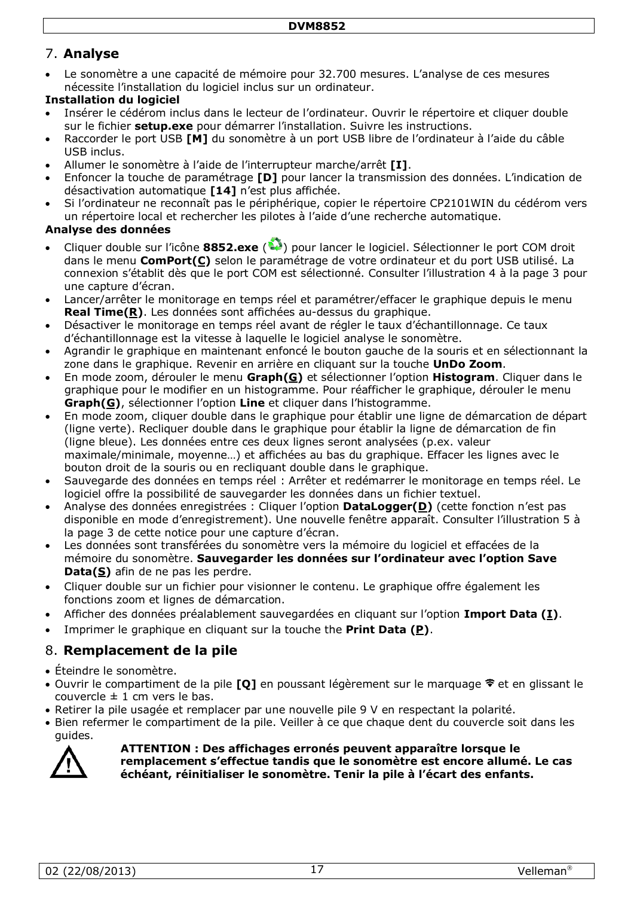## 7. **Analyse**

• Le sonomètre a une capacité de mémoire pour 32.700 mesures. L'analyse de ces mesures nécessite l'installation du logiciel inclus sur un ordinateur.

#### **Installation du logiciel**

- Insérer le cédérom inclus dans le lecteur de l'ordinateur. Ouvrir le répertoire et cliquer double sur le fichier **setup.exe** pour démarrer l'installation. Suivre les instructions.
- Raccorder le port USB **[M]** du sonomètre à un port USB libre de l'ordinateur à l'aide du câble USB inclus.
- Allumer le sonomètre à l'aide de l'interrupteur marche/arrêt **[I]**.
- Enfoncer la touche de paramétrage **[D]** pour lancer la transmission des données. L'indication de désactivation automatique **[14]** n'est plus affichée.
- Si l'ordinateur ne reconnaît pas le périphérique, copier le répertoire CP2101WIN du cédérom vers un répertoire local et rechercher les pilotes à l'aide d'une recherche automatique.

## **Analyse des données**

- Cliquer double sur l'icône 8852.exe (<sup>33</sup>) pour lancer le logiciel. Sélectionner le port COM droit dans le menu **ComPort(C)** selon le paramétrage de votre ordinateur et du port USB utilisé. La connexion s'établit dès que le port COM est sélectionné. Consulter l'illustration 4 à la page [3](#page-2-0) pour une capture d'écran.
- Lancer/arrêter le monitorage en temps réel et paramétrer/effacer le graphique depuis le menu **Real Time(R)**. Les données sont affichées au-dessus du graphique.
- Désactiver le monitorage en temps réel avant de régler le taux d'échantillonnage. Ce taux d'échantillonnage est la vitesse à laquelle le logiciel analyse le sonomètre.
- Agrandir le graphique en maintenant enfoncé le bouton gauche de la souris et en sélectionnant la zone dans le graphique. Revenir en arrière en cliquant sur la touche **UnDo Zoom**.
- En mode zoom, dérouler le menu **Graph(G)** et sélectionner l'option **Histogram**. Cliquer dans le graphique pour le modifier en un histogramme. Pour réafficher le graphique, dérouler le menu **Graph(G)**, sélectionner l'option **Line** et cliquer dans l'histogramme.
- En mode zoom, cliquer double dans le graphique pour établir une ligne de démarcation de départ (ligne verte). Recliquer double dans le graphique pour établir la ligne de démarcation de fin (ligne bleue). Les données entre ces deux lignes seront analysées (p.ex. valeur maximale/minimale, moyenne…) et affichées au bas du graphique. Effacer les lignes avec le bouton droit de la souris ou en recliquant double dans le graphique.
- Sauvegarde des données en temps réel : Arrêter et redémarrer le monitorage en temps réel. Le logiciel offre la possibilité de sauvegarder les données dans un fichier textuel.
- Analyse des données enregistrées : Cliquer l'option **DataLogger(D)** (cette fonction n'est pas disponible en mode d'enregistrement). Une nouvelle fenêtre apparaît. Consulter l'illustration 5 à la page [3](#page-2-1) de cette notice pour une capture d'écran.
- Les données sont transférées du sonomètre vers la mémoire du logiciel et effacées de la mémoire du sonomètre. **Sauvegarder les données sur l'ordinateur avec l'option Save Data(S)** afin de ne pas les perdre.
- Cliquer double sur un fichier pour visionner le contenu. Le graphique offre également les fonctions zoom et lignes de démarcation.
- Afficher des données préalablement sauvegardées en cliquant sur l'option **Import Data (I)**.
- Imprimer le graphique en cliquant sur la touche the **Print Data (P)**.

## 8. **Remplacement de la pile**

- Éteindre le sonomètre.
- Ouvrir le compartiment de la pile **[O]** en poussant légèrement sur le marquage  $\hat{\mathbf{r}}$  et en glissant le couvercle  $\pm$  1 cm vers le bas.
- Retirer la pile usagée et remplacer par une nouvelle pile 9 V en respectant la polarité.
- Bien refermer le compartiment de la pile. Veiller à ce que chaque dent du couvercle soit dans les guides.



**ATTENTION : Des affichages erronés peuvent apparaître lorsque le remplacement s'effectue tandis que le sonomètre est encore allumé. Le cas échéant, réinitialiser le sonomètre. Tenir la pile à l'écart des enfants.**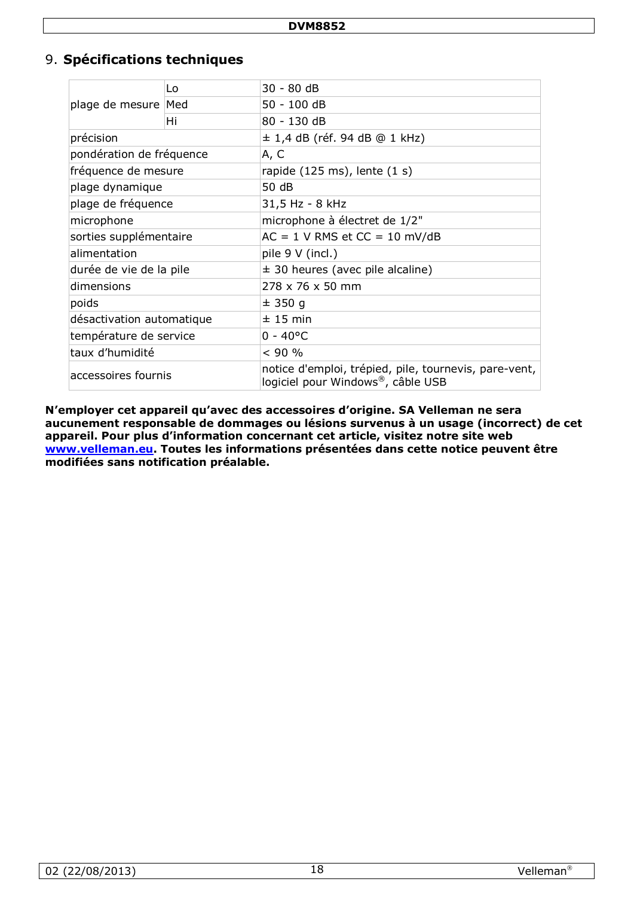## 9. **Spécifications techniques**

| plage de mesure Med       | Lo | 30 - 80 dB                                                                                 |  |
|---------------------------|----|--------------------------------------------------------------------------------------------|--|
|                           |    | 50 - 100 dB                                                                                |  |
|                           | Hi | 80 - 130 dB                                                                                |  |
| précision                 |    | ± 1,4 dB (réf. 94 dB @ 1 kHz)                                                              |  |
| pondération de fréquence  |    | A, C                                                                                       |  |
| fréquence de mesure       |    | rapide $(125 \text{ ms})$ , lente $(1 \text{ s})$                                          |  |
| plage dynamique           |    | 50 dB                                                                                      |  |
| plage de fréquence        |    | 31,5 Hz - 8 kHz                                                                            |  |
| microphone                |    | microphone à électret de 1/2"                                                              |  |
| sorties supplémentaire    |    | $AC = 1$ V RMS et $CC = 10$ mV/dB                                                          |  |
| alimentation              |    | pile 9 V (incl.)                                                                           |  |
| durée de vie de la pile   |    | $\pm$ 30 heures (avec pile alcaline)                                                       |  |
| dimensions                |    | 278 x 76 x 50 mm                                                                           |  |
| poids                     |    | ± 350 g                                                                                    |  |
| désactivation automatique |    | ± 15 min                                                                                   |  |
| température de service    |    | $0 - 40^{\circ}$ C                                                                         |  |
| taux d'humidité           |    | < 90 %                                                                                     |  |
| accessoires fournis       |    | notice d'emploi, trépied, pile, tournevis, pare-vent,<br>logiciel pour Windows®, câble USB |  |

**N'employer cet appareil qu'avec des accessoires d'origine. SA Velleman ne sera aucunement responsable de dommages ou lésions survenus à un usage (incorrect) de cet appareil. Pour plus d'information concernant cet article, visitez notre site web [www.velleman.eu.](http://www.velleman.eu/) Toutes les informations présentées dans cette notice peuvent être modifiées sans notification préalable.**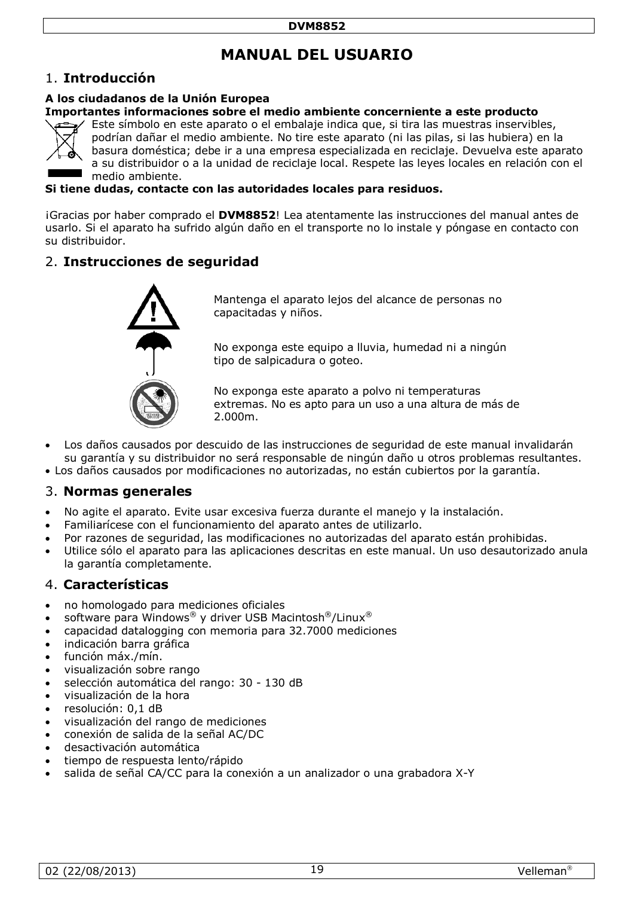# **MANUAL DEL USUARIO**

## 1. **Introducción**

#### **A los ciudadanos de la Unión Europea**

#### **Importantes informaciones sobre el medio ambiente concerniente a este producto**



Este símbolo en este aparato o el embalaje indica que, si tira las muestras inservibles, podrían dañar el medio ambiente. No tire este aparato (ni las pilas, si las hubiera) en la basura doméstica; debe ir a una empresa especializada en reciclaje. Devuelva este aparato a su distribuidor o a la unidad de reciclaje local. Respete las leyes locales en relación con el medio ambiente.

#### **Si tiene dudas, contacte con las autoridades locales para residuos.**

¡Gracias por haber comprado el **DVM8852**! Lea atentamente las instrucciones del manual antes de usarlo. Si el aparato ha sufrido algún daño en el transporte no lo instale y póngase en contacto con su distribuidor.

## 2. **Instrucciones de seguridad**



Mantenga el aparato lejos del alcance de personas no capacitadas y niños.

No exponga este equipo a lluvia, humedad ni a ningún tipo de salpicadura o goteo.

No exponga este aparato a polvo ni temperaturas extremas. No es apto para un uso a una altura de más de 2.000m.

- Los daños causados por descuido de las instrucciones de seguridad de este manual invalidarán su garantía y su distribuidor no será responsable de ningún daño u otros problemas resultantes.
- Los daños causados por modificaciones no autorizadas, no están cubiertos por la garantía.

## 3. **Normas generales**

- No agite el aparato. Evite usar excesiva fuerza durante el manejo y la instalación.
- Familiarícese con el funcionamiento del aparato antes de utilizarlo.
- Por razones de seguridad, las modificaciones no autorizadas del aparato están prohibidas.
- Utilice sólo el aparato para las aplicaciones descritas en este manual. Un uso desautorizado anula la garantía completamente.

#### 4. **Características**

- no homologado para mediciones oficiales
- software para Windows® y driver USB Macintosh®/Linux®
- capacidad datalogging con memoria para 32.7000 mediciones
- indicación barra gráfica
- función máx./mín.
- visualización sobre rango
- selección automática del rango: 30 130 dB
- visualización de la hora
- resolución: 0,1 dB
- visualización del rango de mediciones
- conexión de salida de la señal AC/DC
- desactivación automática
- tiempo de respuesta lento/rápido
- salida de señal CA/CC para la conexión a un analizador o una grabadora X-Y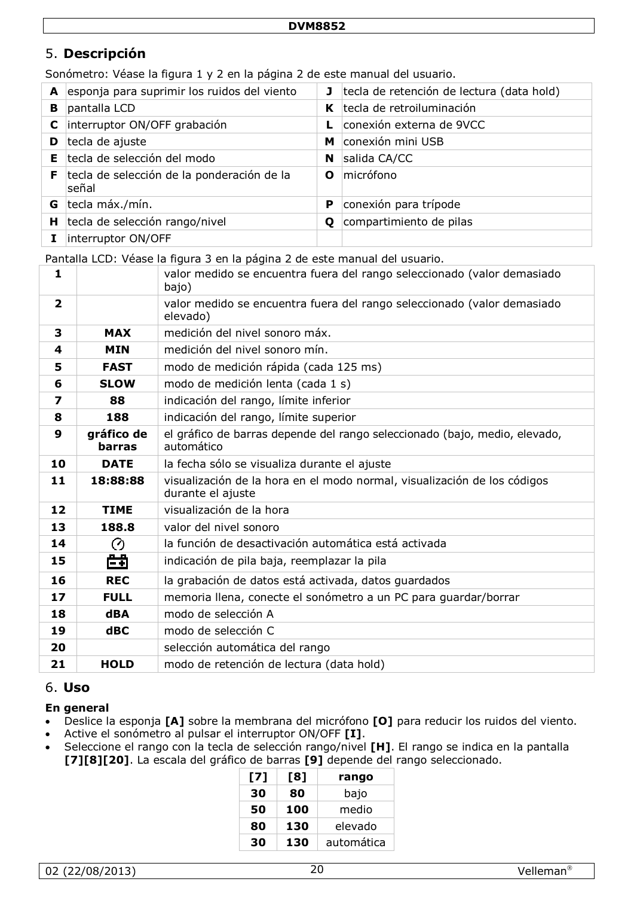## 5. **Descripción**

Sonómetro: Véase la figura 1 y 2 en la página 2 de este manual del usuario.

| A  | esponja para suprimir los ruidos del viento         | J  | tecla de retención de lectura (data hold) |
|----|-----------------------------------------------------|----|-------------------------------------------|
| в  | pantalla LCD                                        | K. | tecla de retroiluminación                 |
| C  | interruptor ON/OFF grabación                        |    | conexión externa de 9VCC                  |
| D  | tecla de ajuste                                     | M  | conexión mini USB                         |
| E. | tecla de selección del modo                         | N  | salida CA/CC                              |
| F. | tecla de selección de la ponderación de la<br>señal | O  | micrófono                                 |
| G  | tecla máx./mín.                                     | P  | conexión para trípode                     |
| н  | tecla de selección rango/nivel                      | O  | compartimiento de pilas                   |
|    | interruptor ON/OFF                                  |    |                                           |

Pantalla LCD: Véase la figura 3 en la página [2](#page-1-0) de este manual del usuario.

| $\mathbf{1}$            |                      | valor medido se encuentra fuera del rango seleccionado (valor demasiado<br>bajo)              |
|-------------------------|----------------------|-----------------------------------------------------------------------------------------------|
| $\overline{\mathbf{2}}$ |                      | valor medido se encuentra fuera del rango seleccionado (valor demasiado<br>elevado)           |
| 3                       | <b>MAX</b>           | medición del nivel sonoro máx.                                                                |
| 4                       | <b>MIN</b>           | medición del nivel sonoro mín.                                                                |
| 5                       | <b>FAST</b>          | modo de medición rápida (cada 125 ms)                                                         |
| 6                       | <b>SLOW</b>          | modo de medición lenta (cada 1 s)                                                             |
| $\overline{\mathbf{z}}$ | 88                   | indicación del rango, límite inferior                                                         |
| 8                       | 188                  | indicación del rango, límite superior                                                         |
| 9                       | gráfico de<br>barras | el gráfico de barras depende del rango seleccionado (bajo, medio, elevado,<br>automático      |
| 10                      | <b>DATE</b>          | la fecha sólo se visualiza durante el ajuste                                                  |
| 11                      | 18:88:88             | visualización de la hora en el modo normal, visualización de los códigos<br>durante el ajuste |
| 12                      | <b>TIME</b>          | visualización de la hora                                                                      |
| 13                      | 188.8                | valor del nivel sonoro                                                                        |
| 14                      | ⊘                    | la función de desactivación automática está activada                                          |
| 15                      | 曲                    | indicación de pila baja, reemplazar la pila                                                   |
| 16                      | <b>REC</b>           | la grabación de datos está activada, datos guardados                                          |
| 17                      | <b>FULL</b>          | memoria llena, conecte el sonómetro a un PC para guardar/borrar                               |
| 18                      | <b>dBA</b>           | modo de selección A                                                                           |
| 19                      | dBC                  | modo de selección C                                                                           |
| 20                      |                      | selección automática del rango                                                                |
| 21                      | <b>HOLD</b>          | modo de retención de lectura (data hold)                                                      |

## 6. **Uso**

#### **En general**

- Deslice la esponja **[A]** sobre la membrana del micrófono **[O]** para reducir los ruidos del viento.
- Active el sonómetro al pulsar el interruptor ON/OFF **[I]**.
- Seleccione el rango con la tecla de selección rango/nivel **[H]**. El rango se indica en la pantalla **[7][8][20]**. La escala del gráfico de barras **[9]** depende del rango seleccionado.

| [7] | [8] | rango      |
|-----|-----|------------|
| 30  | 80  | bajo       |
| 50  | 100 | medio      |
| 80  | 130 | elevado    |
| 30  | 130 | automática |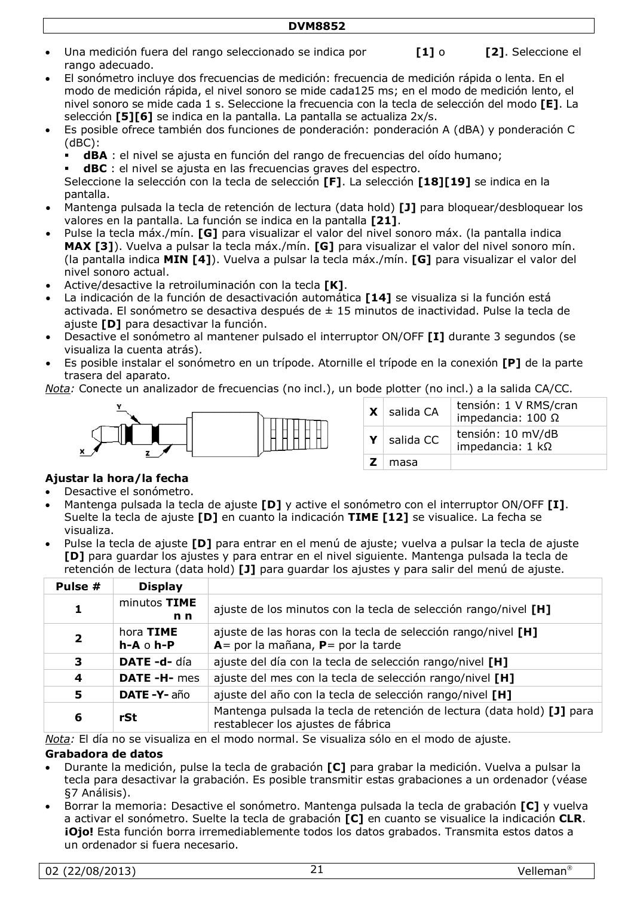- Una medición fuera del rango seleccionado se indica por **UNDER [1]** o **OVER [2]**. Seleccione el rango adecuado.
	-
- El sonómetro incluye dos frecuencias de medición: frecuencia de medición rápida o lenta. En el modo de medición rápida, el nivel sonoro se mide cada125 ms; en el modo de medición lento, el nivel sonoro se mide cada 1 s. Seleccione la frecuencia con la tecla de selección del modo **[E]**. La selección **[5][6]** se indica en la pantalla. La pantalla se actualiza 2x/s.
- Es posible ofrece también dos funciones de ponderación: ponderación A (dBA) y ponderación C (dBC):
	- **dBA** : el nivel se ajusta en función del rango de frecuencias del oído humano;
	- **dBC** : el nivel se ajusta en las frecuencias graves del espectro.

Seleccione la selección con la tecla de selección **[F]**. La selección **[18][19]** se indica en la pantalla.

- Mantenga pulsada la tecla de retención de lectura (data hold) **[J]** para bloquear/desbloquear los valores en la pantalla. La función se indica en la pantalla **[21]**.
- Pulse la tecla máx./mín. **[G]** para visualizar el valor del nivel sonoro máx. (la pantalla indica **MAX [3]**). Vuelva a pulsar la tecla máx./mín. **[G]** para visualizar el valor del nivel sonoro mín. (la pantalla indica **MIN [4]**). Vuelva a pulsar la tecla máx./mín. **[G]** para visualizar el valor del nivel sonoro actual.
- Active/desactive la retroiluminación con la tecla **[K]**.
- La indicación de la función de desactivación automática **[14]** se visualiza si la función está activada. El sonómetro se desactiva después de ± 15 minutos de inactividad. Pulse la tecla de ajuste **[D]** para desactivar la función.
- Desactive el sonómetro al mantener pulsado el interruptor ON/OFF **[I]** durante 3 segundos (se visualiza la cuenta atrás).
- Es posible instalar el sonómetro en un trípode. Atornille el trípode en la conexión **[P]** de la parte trasera del aparato.

*Nota:* Conecte un analizador de frecuencias (no incl.), un bode plotter (no incl.) a la salida CA/CC.



|    | $X$ salida CA | tensión: 1 V RMS/cran<br>impedancia: $100 \Omega$ |
|----|---------------|---------------------------------------------------|
| Y  | salida CC     | tensión: 10 mV/dB<br>impedancia: $1 k\Omega$      |
| Z. | masa          |                                                   |

#### **Ajustar la hora/la fecha**

- Desactive el sonómetro.
- Mantenga pulsada la tecla de ajuste **[D]** y active el sonómetro con el interruptor ON/OFF **[I]**. Suelte la tecla de ajuste **[D]** en cuanto la indicación **TIME [12]** se visualice. La fecha se visualiza.
- Pulse la tecla de ajuste **[D]** para entrar en el menú de ajuste; vuelva a pulsar la tecla de ajuste **[D]** para guardar los ajustes y para entrar en el nivel siguiente. Mantenga pulsada la tecla de retención de lectura (data hold) **[J]** para guardar los ajustes y para salir del menú de ajuste.

| Pulse #                 | <b>Display</b>                   |                                                                                                              |
|-------------------------|----------------------------------|--------------------------------------------------------------------------------------------------------------|
| 1                       | minutos TIME<br>n <sub>n</sub>   | ajuste de los minutos con la tecla de selección rango/nivel [H]                                              |
| $\overline{\mathbf{2}}$ | hora TIME<br>$h - A \circ h - P$ | ajuste de las horas con la tecla de selección rango/nivel [H]<br>$A =$ por la mañana, $P =$ por la tarde     |
| 3                       | DATE-d-día                       | ajuste del día con la tecla de selección rango/nivel [H]                                                     |
| 4                       | DATE-H-mes                       | ajuste del mes con la tecla de selección rango/nivel [H]                                                     |
| 5                       | <b>DATE -Y-</b> año              | ajuste del año con la tecla de selección rango/nivel [H]                                                     |
| 6                       | rSt                              | Mantenga pulsada la tecla de retención de lectura (data hold) [J] para<br>restablecer los ajustes de fábrica |

*Nota:* El día no se visualiza en el modo normal. Se visualiza sólo en el modo de ajuste.

#### **Grabadora de datos**

- Durante la medición, pulse la tecla de grabación **[C]** para grabar la medición. Vuelva a pulsar la tecla para desactivar la grabación. Es posible transmitir estas grabaciones a un ordenador (véase [§7](#page-6-0) Análisis).
- Borrar la memoria: Desactive el sonómetro. Mantenga pulsada la tecla de grabación **[C]** y vuelva a activar el sonómetro. Suelte la tecla de grabación **[C]** en cuanto se visualice la indicación **CLR**. **¡Ojo!** Esta función borra irremediablemente todos los datos grabados. Transmita estos datos a un ordenador si fuera necesario.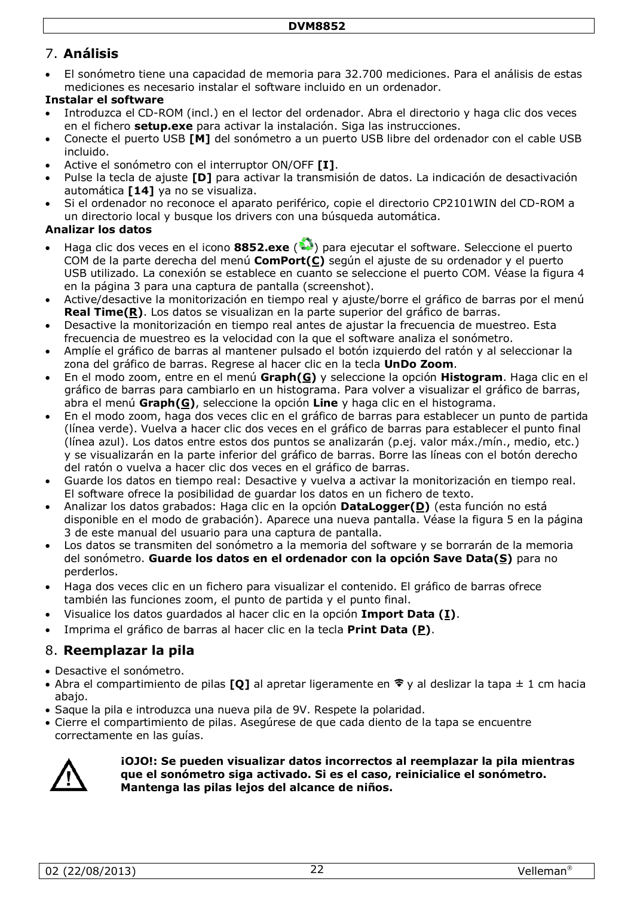## 7. **Análisis**

• El sonómetro tiene una capacidad de memoria para 32.700 mediciones. Para el análisis de estas mediciones es necesario instalar el software incluido en un ordenador.

## **Instalar el software**

- Introduzca el CD-ROM (incl.) en el lector del ordenador. Abra el directorio y haga clic dos veces en el fichero **setup.exe** para activar la instalación. Siga las instrucciones.
- Conecte el puerto USB **[M]** del sonómetro a un puerto USB libre del ordenador con el cable USB incluido.
- Active el sonómetro con el interruptor ON/OFF **[I]**.
- Pulse la tecla de ajuste **[D]** para activar la transmisión de datos. La indicación de desactivación automática **[14]** ya no se visualiza.
- Si el ordenador no reconoce el aparato periférico, copie el directorio CP2101WIN del CD-ROM a un directorio local y busque los drivers con una búsqueda automática.

## **Analizar los datos**

- Haga clic dos veces en el icono **8852.exe** ( ) para ejecutar el software. Seleccione el puerto COM de la parte derecha del menú **ComPort(C)** según el ajuste de su ordenador y el puerto USB utilizado. La conexión se establece en cuanto se seleccione el puerto COM. Véase la figura 4 en la página [3](#page-2-0) para una captura de pantalla (screenshot).
- Active/desactive la monitorización en tiempo real y ajuste/borre el gráfico de barras por el menú **Real Time(R)**. Los datos se visualizan en la parte superior del gráfico de barras.
- Desactive la monitorización en tiempo real antes de ajustar la frecuencia de muestreo. Esta frecuencia de muestreo es la velocidad con la que el software analiza el sonómetro.
- Amplíe el gráfico de barras al mantener pulsado el botón izquierdo del ratón y al seleccionar la zona del gráfico de barras. Regrese al hacer clic en la tecla **UnDo Zoom**.
- En el modo zoom, entre en el menú **Graph(G)** y seleccione la opción **Histogram**. Haga clic en el gráfico de barras para cambiarlo en un histograma. Para volver a visualizar el gráfico de barras, abra el menú **Graph(G)**, seleccione la opción **Line** y haga clic en el histograma.
- En el modo zoom, haga dos veces clic en el gráfico de barras para establecer un punto de partida (línea verde). Vuelva a hacer clic dos veces en el gráfico de barras para establecer el punto final (línea azul). Los datos entre estos dos puntos se analizarán (p.ej. valor máx./mín., medio, etc.) y se visualizarán en la parte inferior del gráfico de barras. Borre las líneas con el botón derecho del ratón o vuelva a hacer clic dos veces en el gráfico de barras.
- Guarde los datos en tiempo real: Desactive y vuelva a activar la monitorización en tiempo real. El software ofrece la posibilidad de guardar los datos en un fichero de texto.
- Analizar los datos grabados: Haga clic en la opción **DataLogger(D)** (esta función no está disponible en el modo de grabación). Aparece una nueva pantalla. Véase la figura 5 en la página [3](#page-2-1) de este manual del usuario para una captura de pantalla.
- Los datos se transmiten del sonómetro a la memoria del software y se borrarán de la memoria del sonómetro. **Guarde los datos en el ordenador con la opción Save Data(S)** para no perderlos.
- Haga dos veces clic en un fichero para visualizar el contenido. El gráfico de barras ofrece también las funciones zoom, el punto de partida y el punto final.
- Visualice los datos guardados al hacer clic en la opción **Import Data (I)**.
- Imprima el gráfico de barras al hacer clic en la tecla **Print Data (P)**.

## 8. **Reemplazar la pila**

- Desactive el sonómetro.
- Abra el compartimiento de pilas **[O]** al apretar ligeramente en  $\hat{\mathbf{v}}$  y al deslizar la tapa  $\pm$  1 cm hacia abajo.
- Saque la pila e introduzca una nueva pila de 9V. Respete la polaridad.
- Cierre el compartimiento de pilas. Asegúrese de que cada diento de la tapa se encuentre correctamente en las guías.



#### **¡OJO!: Se pueden visualizar datos incorrectos al reemplazar la pila mientras que el sonómetro siga activado. Si es el caso, reinicialice el sonómetro. Mantenga las pilas lejos del alcance de niños.**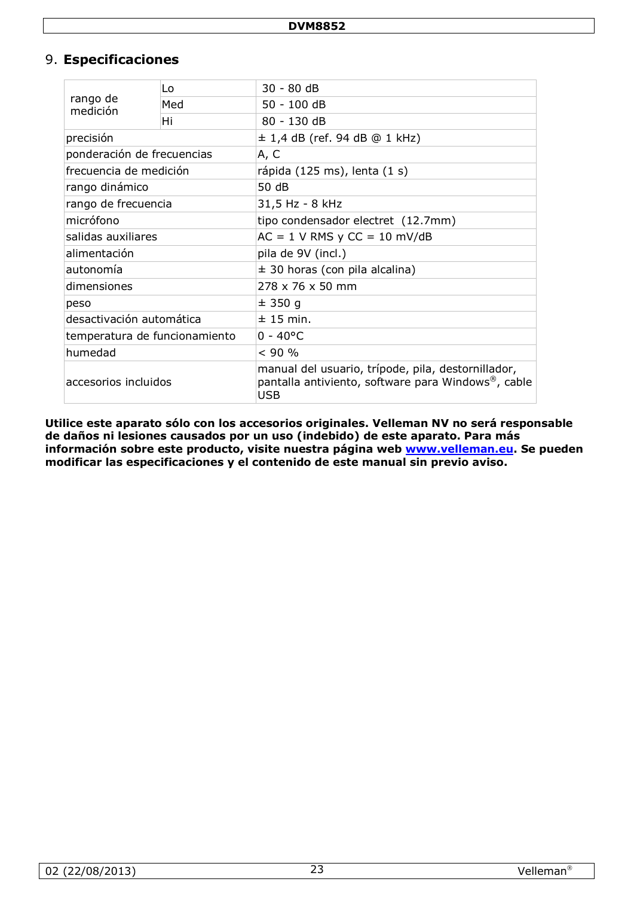## 9. **Especificaciones**

| rango de<br>medición          | Lo  | $30 - 80$ dB                                                                                                    |  |
|-------------------------------|-----|-----------------------------------------------------------------------------------------------------------------|--|
|                               | Med | 50 - 100 dB                                                                                                     |  |
|                               | Hi  | 80 - 130 dB                                                                                                     |  |
| precisión                     |     | $\pm$ 1,4 dB (ref. 94 dB @ 1 kHz)                                                                               |  |
| ponderación de frecuencias    |     | A, C                                                                                                            |  |
| frecuencia de medición        |     | rápida (125 ms), lenta (1 s)                                                                                    |  |
| rango dinámico                |     | 50 dB                                                                                                           |  |
| rango de frecuencia           |     | 31,5 Hz - 8 kHz                                                                                                 |  |
| micrófono                     |     | tipo condensador electret (12.7mm)                                                                              |  |
| salidas auxiliares            |     | $AC = 1$ V RMS y $CC = 10$ mV/dB                                                                                |  |
| alimentación                  |     | pila de 9V (incl.)                                                                                              |  |
| autonomía                     |     | $\pm$ 30 horas (con pila alcalina)                                                                              |  |
| dimensiones                   |     | 278 x 76 x 50 mm                                                                                                |  |
| peso                          |     | ± 350q                                                                                                          |  |
| desactivación automática      |     | $± 15$ min.                                                                                                     |  |
| temperatura de funcionamiento |     | $0 - 40^{\circ}$ C                                                                                              |  |
| humedad                       |     | < 90 %                                                                                                          |  |
| accesorios incluidos          |     | manual del usuario, trípode, pila, destornillador,<br>pantalla antiviento, software para Windows®, cable<br>USB |  |

**Utilice este aparato sólo con los accesorios originales. Velleman NV no será responsable de daños ni lesiones causados por un uso (indebido) de este aparato. Para más información sobre este producto, visite nuestra página web [www.velleman.eu.](http://www.velleman.eu/) Se pueden modificar las especificaciones y el contenido de este manual sin previo aviso.**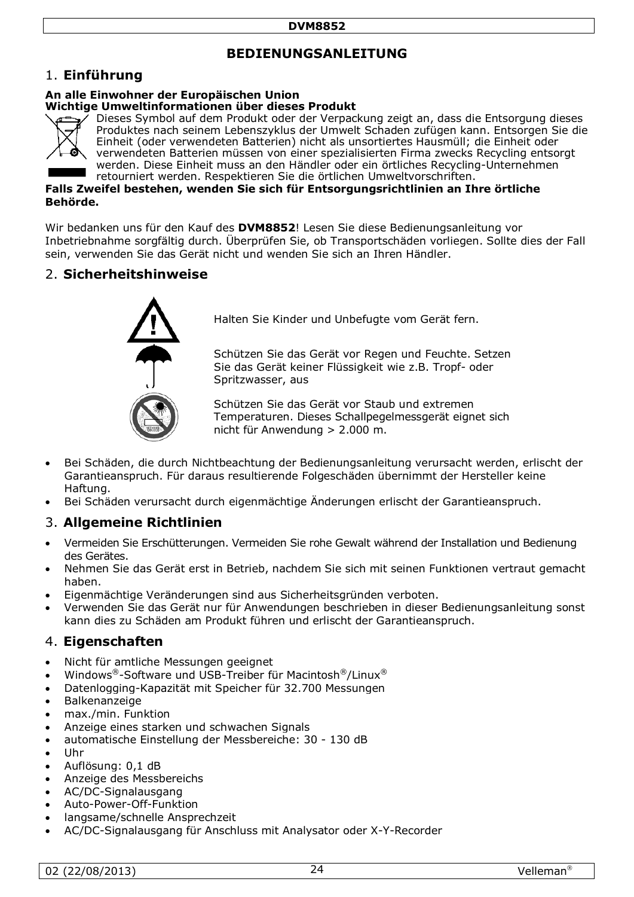## **BEDIENUNGSANLEITUNG**

#### 1. **Einführung**

#### **An alle Einwohner der Europäischen Union**

#### **Wichtige Umweltinformationen über dieses Produkt**



Dieses Symbol auf dem Produkt oder der Verpackung zeigt an, dass die Entsorgung dieses Produktes nach seinem Lebenszyklus der Umwelt Schaden zufügen kann. Entsorgen Sie die Einheit (oder verwendeten Batterien) nicht als unsortiertes Hausmüll; die Einheit oder verwendeten Batterien müssen von einer spezialisierten Firma zwecks Recycling entsorgt werden. Diese Einheit muss an den Händler oder ein örtliches Recycling-Unternehmen retourniert werden. Respektieren Sie die örtlichen Umweltvorschriften.

**Falls Zweifel bestehen, wenden Sie sich für Entsorgungsrichtlinien an Ihre örtliche Behörde.** 

Wir bedanken uns für den Kauf des **DVM8852**! Lesen Sie diese Bedienungsanleitung vor Inbetriebnahme sorgfältig durch. Überprüfen Sie, ob Transportschäden vorliegen. Sollte dies der Fall sein, verwenden Sie das Gerät nicht und wenden Sie sich an Ihren Händler.

#### 2. **Sicherheitshinweise**



Halten Sie Kinder und Unbefugte vom Gerät fern.

Schützen Sie das Gerät vor Regen und Feuchte. Setzen Sie das Gerät keiner Flüssigkeit wie z.B. Tropf- oder Spritzwasser, aus

Schützen Sie das Gerät vor Staub und extremen Temperaturen. Dieses Schallpegelmessgerät eignet sich nicht für Anwendung > 2.000 m.

- Bei Schäden, die durch Nichtbeachtung der Bedienungsanleitung verursacht werden, erlischt der Garantieanspruch. Für daraus resultierende Folgeschäden übernimmt der Hersteller keine Haftung.
- Bei Schäden verursacht durch eigenmächtige Änderungen erlischt der Garantieanspruch.

#### 3. **Allgemeine Richtlinien**

- Vermeiden Sie Erschütterungen. Vermeiden Sie rohe Gewalt während der Installation und Bedienung des Gerätes.
- Nehmen Sie das Gerät erst in Betrieb, nachdem Sie sich mit seinen Funktionen vertraut gemacht haben.
- Eigenmächtige Veränderungen sind aus Sicherheitsgründen verboten.
- Verwenden Sie das Gerät nur für Anwendungen beschrieben in dieser Bedienungsanleitung sonst kann dies zu Schäden am Produkt führen und erlischt der Garantieanspruch.

#### 4. **Eigenschaften**

- Nicht für amtliche Messungen geeignet
- Windows®-Software und USB-Treiber für Macintosh®/Linux®
- Datenlogging-Kapazität mit Speicher für 32.700 Messungen
- Balkenanzeige
- max./min. Funktion
- Anzeige eines starken und schwachen Signals
- automatische Einstellung der Messbereiche: 30 130 dB
- Uhr
- Auflösung: 0,1 dB
- Anzeige des Messbereichs
- AC/DC-Signalausgang
- Auto-Power-Off-Funktion
- langsame/schnelle Ansprechzeit
- AC/DC-Signalausgang für Anschluss mit Analysator oder X-Y-Recorder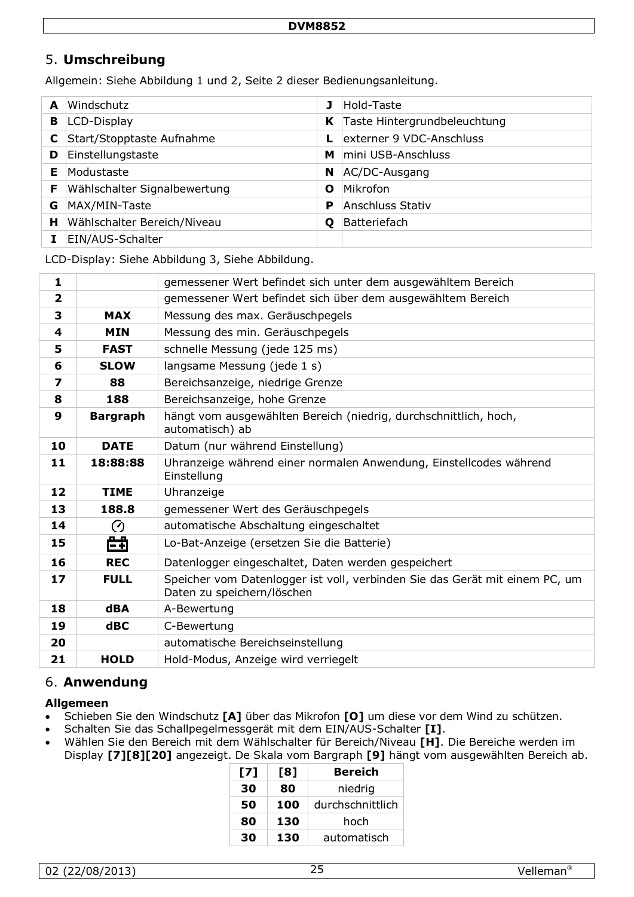## 5. **Umschreibung**

Allgemein: Siehe Abbildung 1 und 2, Seite 2 dieser Bedienungsanleitung.

| A | Windschutz                   |    | Hold-Taste                   |
|---|------------------------------|----|------------------------------|
| в | LCD-Display                  | K. | Taste Hintergrundbeleuchtung |
| C | Start/Stopptaste Aufnahme    |    | externer 9 VDC-Anschluss     |
| D | Einstellungstaste            | М  | mini USB-Anschluss           |
| Е | Modustaste                   | N. | AC/DC-Ausgang                |
| F | Wählschalter Signalbewertung | Ο  | Mikrofon                     |
| G | MAX/MIN-Taste                | P  | Anschluss Stativ             |
| н | Wählschalter Bereich/Niveau  | O  | Batteriefach                 |
|   | EIN/AUS-Schalter             |    |                              |

LCD-Display: Siehe Abbildung 3, Siehe Abbildung.

| 1                       |                 | gemessener Wert befindet sich unter dem ausgewähltem Bereich                                              |  |
|-------------------------|-----------------|-----------------------------------------------------------------------------------------------------------|--|
| $\overline{\mathbf{2}}$ |                 | gemessener Wert befindet sich über dem ausgewähltem Bereich                                               |  |
| 3                       | <b>MAX</b>      | Messung des max. Geräuschpegels                                                                           |  |
| 4                       | <b>MIN</b>      | Messung des min. Geräuschpegels                                                                           |  |
| 5                       | <b>FAST</b>     | schnelle Messung (jede 125 ms)                                                                            |  |
| 6                       | <b>SLOW</b>     | langsame Messung (jede 1 s)                                                                               |  |
| $\overline{\mathbf{z}}$ | 88              | Bereichsanzeige, niedrige Grenze                                                                          |  |
| 8                       | 188             | Bereichsanzeige, hohe Grenze                                                                              |  |
| 9                       | <b>Bargraph</b> | hängt vom ausgewählten Bereich (niedrig, durchschnittlich, hoch,<br>automatisch) ab                       |  |
| 10                      | <b>DATE</b>     | Datum (nur während Einstellung)                                                                           |  |
| 11                      | 18:88:88        | Uhranzeige während einer normalen Anwendung, Einstellcodes während<br>Einstellung                         |  |
| 12                      | <b>TIME</b>     | Uhranzeige                                                                                                |  |
| 13                      | 188.8           | gemessener Wert des Geräuschpegels                                                                        |  |
| 14                      | Ø               | automatische Abschaltung eingeschaltet                                                                    |  |
| 15                      | 曲               | Lo-Bat-Anzeige (ersetzen Sie die Batterie)                                                                |  |
| 16                      | <b>REC</b>      | Datenlogger eingeschaltet, Daten werden gespeichert                                                       |  |
| 17                      | <b>FULL</b>     | Speicher vom Datenlogger ist voll, verbinden Sie das Gerät mit einem PC, um<br>Daten zu speichern/löschen |  |
| 18                      | <b>dBA</b>      | A-Bewertung                                                                                               |  |
| 19                      | $d$ BC          | C-Bewertung                                                                                               |  |
| 20                      |                 | automatische Bereichseinstellung                                                                          |  |
| 21                      | <b>HOLD</b>     | Hold-Modus, Anzeige wird verriegelt                                                                       |  |

#### 6. **Anwendung**

#### **Allgemeen**

- Schieben Sie den Windschutz **[A]** über das Mikrofon **[O]** um diese vor dem Wind zu schützen.
- Schalten Sie das Schallpegelmessgerät mit dem EIN/AUS-Schalter **[I]**.
- Wählen Sie den Bereich mit dem Wählschalter für Bereich/Niveau **[H]**. Die Bereiche werden im Display **[7][8][20]** angezeigt. De Skala vom Bargraph **[9]** hängt vom ausgewählten Bereich ab.

| [7] | [8] | <b>Bereich</b>   |
|-----|-----|------------------|
| 30  | 80  | niedrig          |
| 50  | 100 | durchschnittlich |
| 80  | 130 | hoch             |
| 30  | 130 | automatisch      |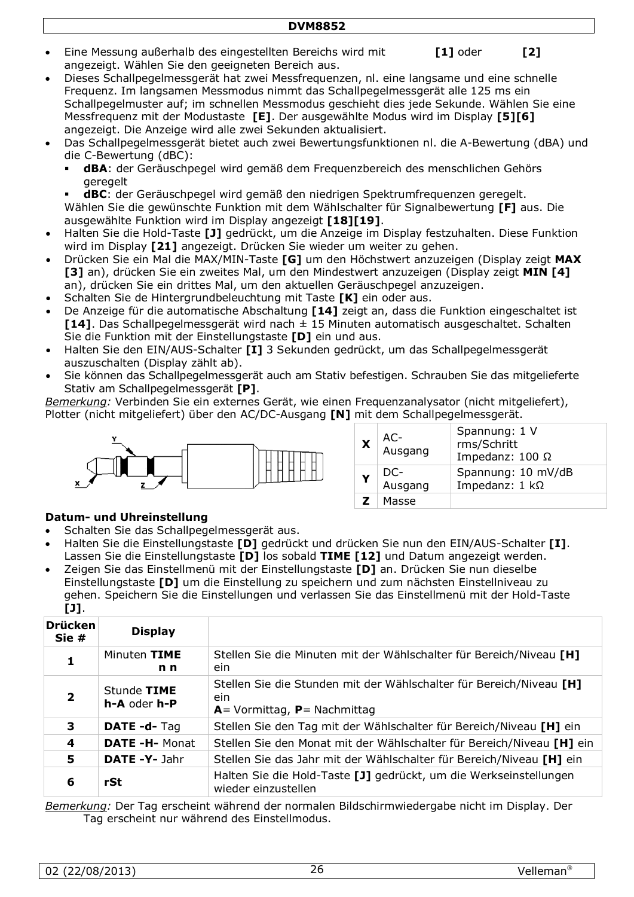- Eine Messung außerhalb des eingestellten Bereichs wird mit **[1]** oder [2] angezeigt. Wählen Sie den geeigneten Bereich aus.
- Dieses Schallpegelmessgerät hat zwei Messfrequenzen, nl. eine langsame und eine schnelle Frequenz. Im langsamen Messmodus nimmt das Schallpegelmessgerät alle 125 ms ein Schallpegelmuster auf; im schnellen Messmodus geschieht dies jede Sekunde. Wählen Sie eine Messfrequenz mit der Modustaste **[E]**. Der ausgewählte Modus wird im Display **[5][6]** angezeigt. Die Anzeige wird alle zwei Sekunden aktualisiert.
- Das Schallpegelmessgerät bietet auch zwei Bewertungsfunktionen nl. die A-Bewertung (dBA) und die C-Bewertung (dBC):
	- **dBA**: der Geräuschpegel wird gemäß dem Frequenzbereich des menschlichen Gehörs geregelt
	- **dBC**: der Geräuschpegel wird gemäß den niedrigen Spektrumfrequenzen geregelt. Wählen Sie die gewünschte Funktion mit dem Wählschalter für Signalbewertung **[F]** aus. Die ausgewählte Funktion wird im Display angezeigt **[18][19]**.
- Halten Sie die Hold-Taste **[J]** gedrückt, um die Anzeige im Display festzuhalten. Diese Funktion wird im Display **[21]** angezeigt. Drücken Sie wieder um weiter zu gehen.
- Drücken Sie ein Mal die MAX/MIN-Taste **[G]** um den Höchstwert anzuzeigen (Display zeigt **MAX [3]** an), drücken Sie ein zweites Mal, um den Mindestwert anzuzeigen (Display zeigt **MIN [4]** an), drücken Sie ein drittes Mal, um den aktuellen Geräuschpegel anzuzeigen.
- Schalten Sie de Hintergrundbeleuchtung mit Taste **[K]** ein oder aus.
- De Anzeige für die automatische Abschaltung **[14]** zeigt an, dass die Funktion eingeschaltet ist **[14]**. Das Schallpegelmessgerät wird nach ± 15 Minuten automatisch ausgeschaltet. Schalten Sie die Funktion mit der Einstellungstaste **[D]** ein und aus.
- Halten Sie den EIN/AUS-Schalter **[I]** 3 Sekunden gedrückt, um das Schallpegelmessgerät auszuschalten (Display zählt ab).
- Sie können das Schallpegelmessgerät auch am Stativ befestigen. Schrauben Sie das mitgelieferte Stativ am Schallpegelmessgerät **[P]**.

*Bemerkung:* Verbinden Sie ein externes Gerät, wie einen Frequenzanalysator (nicht mitgeliefert), Plotter (nicht mitgeliefert) über den AC/DC-Ausgang **[N]** mit dem Schallpegelmessgerät.



| X            | AC-<br>Ausgang | Spannung: 1 V<br>rms/Schritt<br>Impedanz: $100 \Omega$ |
|--------------|----------------|--------------------------------------------------------|
| Y            | DC-<br>Ausgang | Spannung: 10 mV/dB<br>Impedanz: $1 k\Omega$            |
| $\mathbf{Z}$ | Masse          |                                                        |

#### **Datum- und Uhreinstellung**

- Schalten Sie das Schallpegelmessgerät aus.
- Halten Sie die Einstellungstaste **[D]** gedrückt und drücken Sie nun den EIN/AUS-Schalter **[I]**. Lassen Sie die Einstellungstaste **[D]** los sobald **TIME [12]** und Datum angezeigt werden.
- Zeigen Sie das Einstellmenü mit der Einstellungstaste **[D]** an. Drücken Sie nun dieselbe Einstellungstaste **[D]** um die Einstellung zu speichern und zum nächsten Einstellniveau zu gehen. Speichern Sie die Einstellungen und verlassen Sie das Einstellmenü mit der Hold-Taste **[J]**.

| <b>Drücken</b><br>Sie# | <b>Display</b>                 |                                                                                                                  |
|------------------------|--------------------------------|------------------------------------------------------------------------------------------------------------------|
| 1                      | Minuten TIME<br>n <sub>n</sub> | Stellen Sie die Minuten mit der Wählschalter für Bereich/Niveau [H]<br>ein.                                      |
|                        | Stunde TIME<br>h-A oder h-P    | Stellen Sie die Stunden mit der Wählschalter für Bereich/Niveau [H]<br>ein.<br>$A =$ Vormittag, $P =$ Nachmittag |
| 3                      | DATE -d-Tag                    | Stellen Sie den Tag mit der Wählschalter für Bereich/Niveau [H] ein                                              |
| 4                      | <b>DATE -H- Monat</b>          | Stellen Sie den Monat mit der Wählschalter für Bereich/Niveau [H] ein                                            |
| 5                      | DATE -Y- Jahr                  | Stellen Sie das Jahr mit der Wählschalter für Bereich/Niveau [H] ein                                             |
| 6                      | rSt                            | Halten Sie die Hold-Taste [J] gedrückt, um die Werkseinstellungen<br>wieder einzustellen                         |

*Bemerkung:* Der Tag erscheint während der normalen Bildschirmwiedergabe nicht im Display. Der Tag erscheint nur während des Einstellmodus.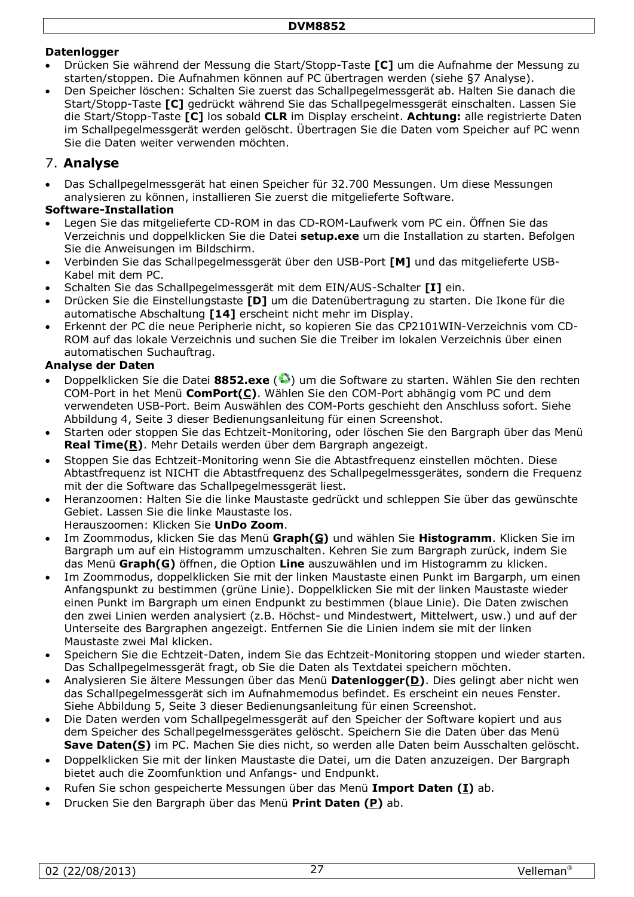#### **Datenlogger**

- Drücken Sie während der Messung die Start/Stopp-Taste **[C]** um die Aufnahme der Messung zu starten/stoppen. Die Aufnahmen können auf PC übertragen werden (siehe [§7](#page-6-0) Analyse).
- Den Speicher löschen: Schalten Sie zuerst das Schallpegelmessgerät ab. Halten Sie danach die Start/Stopp-Taste **[C]** gedrückt während Sie das Schallpegelmessgerät einschalten. Lassen Sie die Start/Stopp-Taste **[C]** los sobald **CLR** im Display erscheint. **Achtung:** alle registrierte Daten im Schallpegelmessgerät werden gelöscht. Übertragen Sie die Daten vom Speicher auf PC wenn Sie die Daten weiter verwenden möchten.

## 7. **Analyse**

• Das Schallpegelmessgerät hat einen Speicher für 32.700 Messungen. Um diese Messungen analysieren zu können, installieren Sie zuerst die mitgelieferte Software.

#### **Software-Installation**

- Legen Sie das mitgelieferte CD-ROM in das CD-ROM-Laufwerk vom PC ein. Öffnen Sie das Verzeichnis und doppelklicken Sie die Datei **setup.exe** um die Installation zu starten. Befolgen Sie die Anweisungen im Bildschirm.
- Verbinden Sie das Schallpegelmessgerät über den USB-Port **[M]** und das mitgelieferte USB-Kabel mit dem PC.
- Schalten Sie das Schallpegelmessgerät mit dem EIN/AUS-Schalter **[I]** ein.
- Drücken Sie die Einstellungstaste **[D]** um die Datenübertragung zu starten. Die Ikone für die automatische Abschaltung **[14]** erscheint nicht mehr im Display.
- Erkennt der PC die neue Peripherie nicht, so kopieren Sie das CP2101WIN-Verzeichnis vom CD-ROM auf das lokale Verzeichnis und suchen Sie die Treiber im lokalen Verzeichnis über einen automatischen Suchauftrag.

#### **Analyse der Daten**

- Doppelklicken Sie die Datei **8852.exe** ( ) um die Software zu starten. Wählen Sie den rechten COM-Port in het Menü **ComPort(C)**. Wählen Sie den COM-Port abhängig vom PC und dem verwendeten USB-Port. Beim Auswählen des COM-Ports geschieht den Anschluss sofort. Siehe Abbildung 4, Seite [3](#page-2-0) dieser Bedienungsanleitung für einen Screenshot.
- Starten oder stoppen Sie das Echtzeit-Monitoring, oder löschen Sie den Bargraph über das Menü **Real Time(R)**. Mehr Details werden über dem Bargraph angezeigt.
- Stoppen Sie das Echtzeit-Monitoring wenn Sie die Abtastfrequenz einstellen möchten. Diese Abtastfrequenz ist NICHT die Abtastfrequenz des Schallpegelmessgerätes, sondern die Frequenz mit der die Software das Schallpegelmessgerät liest.
- Heranzoomen: Halten Sie die linke Maustaste gedrückt und schleppen Sie über das gewünschte Gebiet. Lassen Sie die linke Maustaste los.
- Herauszoomen: Klicken Sie **UnDo Zoom**.
- Im Zoommodus, klicken Sie das Menü **Graph(G)** und wählen Sie **Histogramm**. Klicken Sie im Bargraph um auf ein Histogramm umzuschalten. Kehren Sie zum Bargraph zurück, indem Sie das Menü **Graph(G)** öffnen, die Option **Line** auszuwählen und im Histogramm zu klicken.
- Im Zoommodus, doppelklicken Sie mit der linken Maustaste einen Punkt im Bargarph, um einen Anfangspunkt zu bestimmen (grüne Linie). Doppelklicken Sie mit der linken Maustaste wieder einen Punkt im Bargraph um einen Endpunkt zu bestimmen (blaue Linie). Die Daten zwischen den zwei Linien werden analysiert (z.B. Höchst- und Mindestwert, Mittelwert, usw.) und auf der Unterseite des Bargraphen angezeigt. Entfernen Sie die Linien indem sie mit der linken Maustaste zwei Mal klicken.
- Speichern Sie die Echtzeit-Daten, indem Sie das Echtzeit-Monitoring stoppen und wieder starten. Das Schallpegelmessgerät fragt, ob Sie die Daten als Textdatei speichern möchten.
- Analysieren Sie ältere Messungen über das Menü **Datenlogger(D)**. Dies gelingt aber nicht wen das Schallpegelmessgerät sich im Aufnahmemodus befindet. Es erscheint ein neues Fenster. Siehe Abbildung 5, Seite [3](#page-2-1) dieser Bedienungsanleitung für einen Screenshot.
- Die Daten werden vom Schallpegelmessgerät auf den Speicher der Software kopiert und aus dem Speicher des Schallpegelmessgerätes gelöscht. Speichern Sie die Daten über das Menü **Save Daten(S)** im PC. Machen Sie dies nicht, so werden alle Daten beim Ausschalten gelöscht.
- Doppelklicken Sie mit der linken Maustaste die Datei, um die Daten anzuzeigen. Der Bargraph bietet auch die Zoomfunktion und Anfangs- und Endpunkt.
- Rufen Sie schon gespeicherte Messungen über das Menü **Import Daten (I)** ab.
- Drucken Sie den Bargraph über das Menü **Print Daten (P)** ab.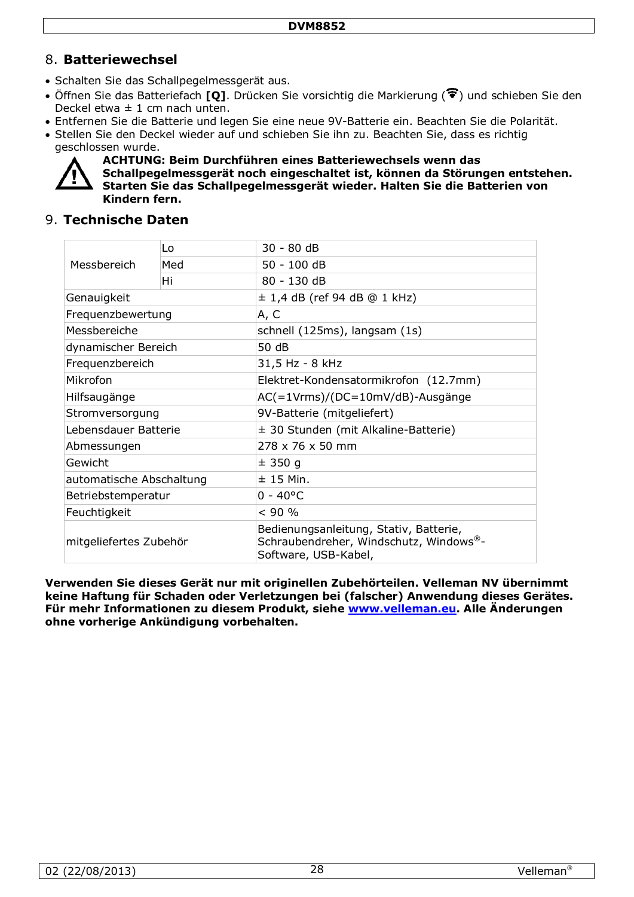## 8. **Batteriewechsel**

- Schalten Sie das Schallpegelmessgerät aus.
- Öffnen Sie das Batteriefach **[Q]**. Drücken Sie vorsichtig die Markierung ( $\widehat{\mathbf{F}}$ ) und schieben Sie den Deckel etwa  $\pm$  1 cm nach unten.
- Entfernen Sie die Batterie und legen Sie eine neue 9V-Batterie ein. Beachten Sie die Polarität.
- Stellen Sie den Deckel wieder auf und schieben Sie ihn zu. Beachten Sie, dass es richtig geschlossen wurde.



**ACHTUNG: Beim Durchführen eines Batteriewechsels wenn das Schallpegelmessgerät noch eingeschaltet ist, können da Störungen entstehen. Starten Sie das Schallpegelmessgerät wieder. Halten Sie die Batterien von Kindern fern.**

## 9. **Technische Daten**

| Messbereich              | Lo  | 30 - 80 dB                                                                                               |  |
|--------------------------|-----|----------------------------------------------------------------------------------------------------------|--|
|                          | Med | 50 - 100 dB                                                                                              |  |
|                          | Hi  | 80 - 130 dB                                                                                              |  |
| Genauigkeit              |     | $\pm$ 1,4 dB (ref 94 dB @ 1 kHz)                                                                         |  |
| Frequenzbewertung        |     | A, C                                                                                                     |  |
| Messbereiche             |     | schnell (125ms), langsam (1s)                                                                            |  |
| dynamischer Bereich      |     | 50 dB                                                                                                    |  |
| Frequenzbereich          |     | 31,5 Hz - 8 kHz                                                                                          |  |
| Mikrofon                 |     | Elektret-Kondensatormikrofon (12.7mm)                                                                    |  |
| Hilfsaugänge             |     | AC(=1Vrms)/(DC=10mV/dB)-Ausgänge                                                                         |  |
| Stromversorgung          |     | 9V-Batterie (mitgeliefert)                                                                               |  |
| Lebensdauer Batterie     |     | ± 30 Stunden (mit Alkaline-Batterie)                                                                     |  |
| Abmessungen              |     | $278 \times 76 \times 50$ mm                                                                             |  |
| Gewicht                  |     | ± 350 g                                                                                                  |  |
| automatische Abschaltung |     | $± 15$ Min.                                                                                              |  |
| Betriebstemperatur       |     | $0 - 40^{\circ}C$                                                                                        |  |
| Feuchtigkeit             |     | < 90 %                                                                                                   |  |
| mitgeliefertes Zubehör   |     | Bedienungsanleitung, Stativ, Batterie,<br>Schraubendreher, Windschutz, Windows®-<br>Software, USB-Kabel, |  |

**Verwenden Sie dieses Gerät nur mit originellen Zubehörteilen. Velleman NV übernimmt keine Haftung für Schaden oder Verletzungen bei (falscher) Anwendung dieses Gerätes. Für mehr Informationen zu diesem Produkt, siehe [www.velleman.eu.](http://www.velleman.eu/) Alle Änderungen ohne vorherige Ankündigung vorbehalten.**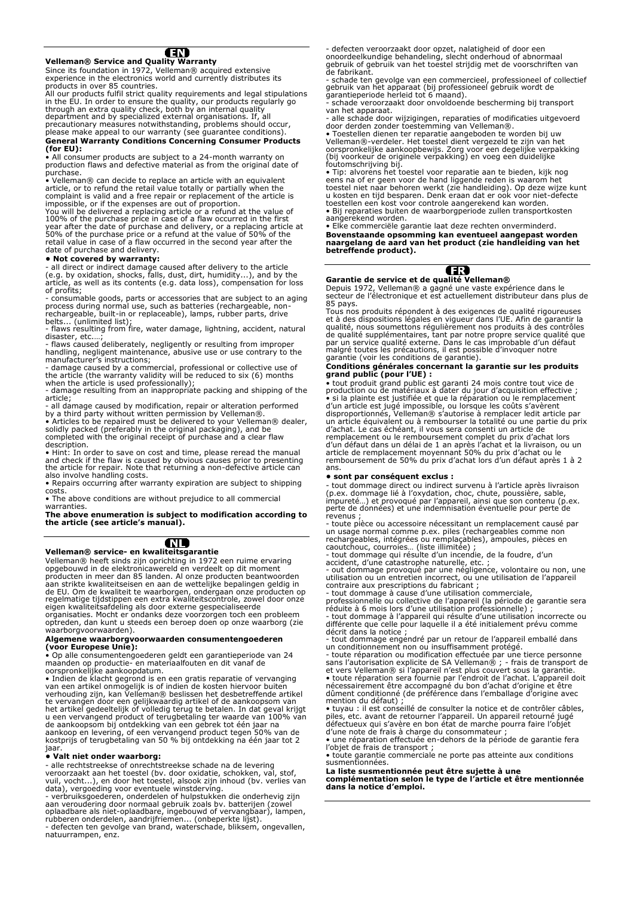#### ŒD

#### **Velleman® Service and Quality Warranty**

Since its foundation in 1972, Velleman® acquired extensive experience in the electronics world and currently distributes its

experience in the electronics world and currently distributes its<br>products in over 85 countries.<br>All our products fulfil strict quality requirements and legal stipulations<br>All our products fulfil strict quality requirement

**General Warranty Conditions Concerning Consumer Products (for EU):** 

• All consumer products are subject to a 24-month warranty on production flaws and defective material as from the original date of purchase.

• Velleman® can decide to replace an article with an equivalent<br>article, or to refund the retail value totally or partially when the<br>complaint is valid and a free repair or replacement of the article is<br>impossible, or if t You will be delivered a replacing article or a refund at the value of 100% of the purchase price in case of a flaw occurred in the first year after the date of purchase and delivery, or a replacing article at 50% of the pu

#### **• Not covered by warranty:**

- all direct or indirect damage caused after delivery to the article<br>(e.g. by oxidation, shocks, falls, dust, dirt, humidity...), and by the<br>article, as well as its contents (e.g. data loss), compensation for loss<br>of profi

- consumable goods, parts or accessories that are subject to an aging process during normal use, such as batteries (rechargeable, non-rechargeable, built-in or replaceable), lamps, rubber parts, drive

belts... (unlimited list); - flaws resulting from fire, water damage, lightning, accident, natural

disaster, etc....;<br>- flaws caused deliberately, negligently or resulting from improper<br>handling, negligent maintenance, abusive use or use contrary to the<br>manufacturer's instructions;<br>- damage caused by a commercial, profe

- damage resulting from an inappropriate packing and shipping of the article;

- all damage caused by modification, repair or alteration performed

by a third party without written permission by Velleman®. • Articles to be repaired must be delivered to your Velleman® dealer, solidly packed (preferably in the original packaging), and be completed with the original receipt of purchase and a clear flaw description.

• Hint: In order to save on cost and time, please reread the manual<br>and check if the flaw is caused by obvious causes prior to presenting<br>the article for repair. Note that returning a non-defective article can<br>also involve

costs.

• The above conditions are without prejudice to all commercial warranties.

**The above enumeration is subject to modification according to the article (see article's manual).**

## (NL)

**Velleman® service- en kwaliteitsgarantie**  Velleman® heeft sinds zijn oprichting in 1972 een ruime ervaring opgebouwd in de elektronicawereld en verdeelt op dit moment producten in meer dan 85 landen. Al onze producten beantwoorden aan strikte kwaliteitseisen en aan de wettelijke bepalingen geldig in de EU. Om de kwaliteit te waarborgen, ondergaan onze producten op regelmatige tijdstippen een extra kwaliteitscontrole, zowel door onze eigen kwaliteitsafdeling als door externe gespecialiseerde

organisaties. Mocht er ondanks deze voorzorgen toch een probleem optreden, dan kunt u steeds een beroep doen op onze waarborg (zie waarborgvoorwaarden).

#### **Algemene waarborgvoorwaarden consumentengoederen (voor Europese Unie):**

• Op alle consumentengoederen geldt een garantieperiode van 24 maanden op productie- en materiaalfouten en dit vanaf de oorspronkelijke aankoopdatum.

• Indien de klacht gegrond is en een gratis reparatie of vervanging van een artikel onmogelijk is of indien de kosten hiervoor buiten verhouding zijn, kan Velleman® beslissen het desbetreffende artikel te vervangen door een gelijkwaardig artikel of de aankoopsom van<br>het artikel gedeeltelijk of volledig terug te betalen. In dat geval krijgt<br>u een vervangend product of terugbetaling ter waarde van 100% van<br>de aankoopsom bi jaar.

**• Valt niet onder waarborg:**

- alle rechtstreekse of onrechtstreekse schade na de levering<br>veroorzaakt aan het toestel (bv. door oxidatie, schokken, val, stof,<br>vuil, vocht...), en door het toestel, alsook zijn inhoud (bv. verlies van<br>data), vergoeding natuurrampen, enz.

- defecten veroorzaakt door opzet, nalatigheid of door een onoordeelkundige behandeling, slecht onderhoud of abnormaal gebruik of gebruik van het toestel strijdig met de voorschriften van de fabrikant.

- schade ten gevolge van een commercieel, professioneel of collectief<br>gebruik van het apparaat (bij professioneel gebruik wordt de<br>garantieperiode herleid tot 6 maand).<br>- schade veroorzaakt door onvoldoende bescherming bij

van het apparaat.

- alle schade door wijzigingen, reparaties of modificaties uitgevoerd<br>door derden zonder toestemming van Velleman®.<br>• Toestellen dienen ter reparatie aangeboden te worden bij uw

Velleman®-verdeler. Het toestel dient vergezeld te zijn van het oorspronkelijke aankoopbewijs. Zorg voor een degelijke verpakking (bij voorkeur de originele verpakking) en voeg een duidelijke foutomschrijving bij.

• Tip: alvorens het toestel voor reparatie aan te bieden, kijk nog<br>eens na of er geen voor de hand liggende reden is waarom het<br>toestel niet naar behoren werkt (zie handleiding). Op deze wijze kunt<br>u kosten en tijd bespar

• Elke commerciële garantie laat deze rechten onverminderd. **Bovenstaande opsomming kan eventueel aangepast worden naargelang de aard van het product (zie handleiding van het betreffende product).** 



**Garantie de service et de qualité Velleman®**  Depuis 1972, Velleman® a gagné une vaste expérience dans le secteur de l'électronique et est actuellement distributeur dans plus de

85 pays.

Tous nos produits répondent à des exigences de qualité rigoureuses<br>et à des dispositions légales en vigueur dans l'UE. Afin de garantir la<br>qualité, nous soumettons régulièrement nos produits à des contrôles<br>de qualité supp par un service qualité externe. Dans le cas improbable d'un défaut malgré toutes les précautions, il est possible d'invoquer notre garantie (voir les conditions de garantie).

## **Conditions générales concernant la garantie sur les produits grand public (pour l'UE) :**

• tout produit grand public est garanti 24 mois contre tout vice de production ou de matériaux à dater du jour d'acquisition effective ; • si la plainte est justifiée et que la réparation ou le remplacement d'un article est jugé impossible, ou lorsque les coûts s'avèrent disproportionnés, Velleman® s'autorise à remplacer ledit article par un article équivalent ou à rembourser la totalité ou une partie du prix d'achat. Le cas échéant, il vous sera consenti un article de<br>remplacement ou le remboursement complet du prix d'achat lors<br>d'un défaut dans un délai de 1 an après l'achat et la livraison, ou un<br>article de remplacement moye ans.

#### **• sont par conséquent exclus :**

- tout dommage direct ou indirect survenu à l'article après livraison (p.ex. dommage lié à l'oxydation, choc, chute, poussière, sable, impureté…) et provoqué par l'appareil, ainsi que son contenu (p.ex. perte de données) et une indemnisation éventuelle pour perte de

revenus ; - toute pièce ou accessoire nécessitant un remplacement causé par un usage normal comme p.ex. piles (rechargeables comme non rechargeables, intégrées ou remplaçables), ampoules, pièces en caoutchouc, courroies… (liste illimitée) ;

- tout dommage qui résulte d'un incendie, de la foudre, d'un<br>accident, d'une catastrophe naturelle, etc. ;<br>- out dommage provoqué par une négligence, volontaire ou non, une<br>utilisation ou un entretien incorrect, ou une uti

différente que celle pour laquelle il a été initialement prévu comme décrit dans la notice ;

- tout dommage engendré par un retour de l'appareil emballé dans

un conditionnement non ou insuffisamment protégé.<br>- toute réparation ou modification effectuée par une tierce personne<br>sans l'autorisation explicite de SA Velleman® ; - frais de transport de<br>et vers Velleman® si l'appareil

mention du défaut) ;<br>• tuyau : il est conseillé de consulter la notice et de contrôler câbles,<br>piles, etc. avant de retourner l'appareil. Un appareil retourné jugé<br>défectueux qui s'avère en bon état de marche pourra faire

d'une note de frais à charge du consommateur ; • une réparation effectuée en-dehors de la période de garantie fera l'objet de frais de transport ;

• toute garantie commerciale ne porte pas atteinte aux conditions susmentionnées.

**La liste susmentionnée peut être sujette à une complémentation selon le type de l'article et être mentionnée dans la notice d'emploi.**